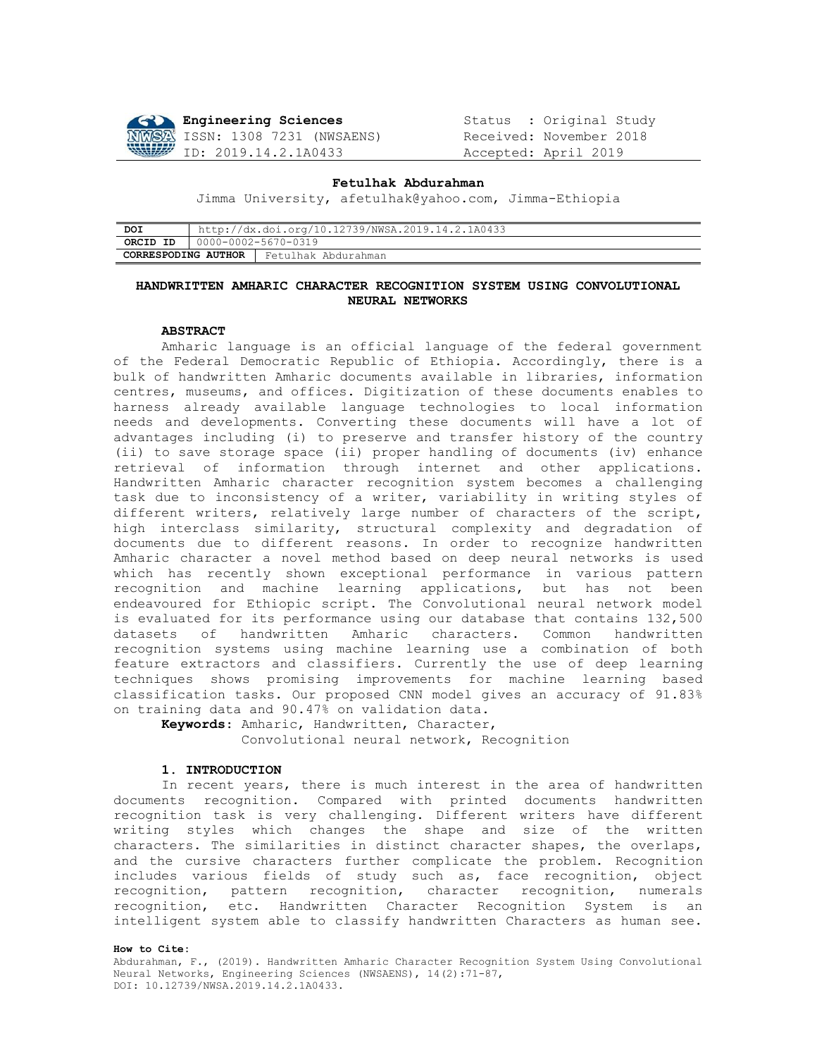

Engineering Sciences<br> **NWS2** ISSN: 1308 7231 (NWSAENS) Received: November 2018 ID: 2019.14.2.1A0433 Accepted: April 2019

#### **Fetulhak Abdurahman**

Jimma University, [afetulhak@yahoo.com,](mailto:afetulhak@yahoo.com) Jimma-Ethiopia

| DOI                 | http://dx.doi.org/10.12739/NWSA.2019.14.2.1A0433 |                     |  |  |  |  |
|---------------------|--------------------------------------------------|---------------------|--|--|--|--|
| ORCID ID            | 0000-0002-5670-0319                              |                     |  |  |  |  |
| CORRESPODING AUTHOR |                                                  | Fetulhak Abdurahman |  |  |  |  |

# **HANDWRITTEN AMHARIC CHARACTER RECOGNITION SYSTEM USING CONVOLUTIONAL NEURAL NETWORKS**

### **ABSTRACT**

Amharic language is an official language of the federal government of the Federal Democratic Republic of Ethiopia. Accordingly, there is a bulk of handwritten Amharic documents available in libraries, information centres, museums, and offices. Digitization of these documents enables to harness already available language technologies to local information needs and developments. Converting these documents will have a lot of advantages including (i) to preserve and transfer history of the country (ii) to save storage space (ii) proper handling of documents (iv) enhance retrieval of information through internet and other applications. Handwritten Amharic character recognition system becomes a challenging task due to inconsistency of a writer, variability in writing styles of different writers, relatively large number of characters of the script, high interclass similarity, structural complexity and degradation of documents due to different reasons. In order to recognize handwritten Amharic character a novel method based on deep neural networks is used which has recently shown exceptional performance in various pattern recognition and machine learning applications, but has not been endeavoured for Ethiopic script. The Convolutional neural network model is evaluated for its performance using our database that contains 132,500 datasets of handwritten Amharic characters. Common handwritten recognition systems using machine learning use a combination of both feature extractors and classifiers. Currently the use of deep learning techniques shows promising improvements for machine learning based classification tasks. Our proposed CNN model gives an accuracy of 91.83% on training data and 90.47% on validation data.

**Keywords**: Amharic, Handwritten, Character, Convolutional neural network, Recognition

### **1. INTRODUCTION**

 In recent years, there is much interest in the area of handwritten documents recognition. Compared with printed documents handwritten recognition task is very challenging. Different writers have different writing styles which changes the shape and size of the written characters. The similarities in distinct character shapes, the overlaps, and the cursive characters further complicate the problem. Recognition includes various fields of study such as, face recognition, object recognition, pattern recognition, character recognition, numerals recognition, etc. Handwritten Character Recognition System is an intelligent system able to classify handwritten Characters as human see.

#### **How to Cite:**

Abdurahman, F., (2019). Handwritten Amharic Character Recognition System Using Convolutional Neural Networks, Engineering Sciences (NWSAENS), 14(2):71-87, DOI: 10.12739/NWSA.2019.14.2.1A0433.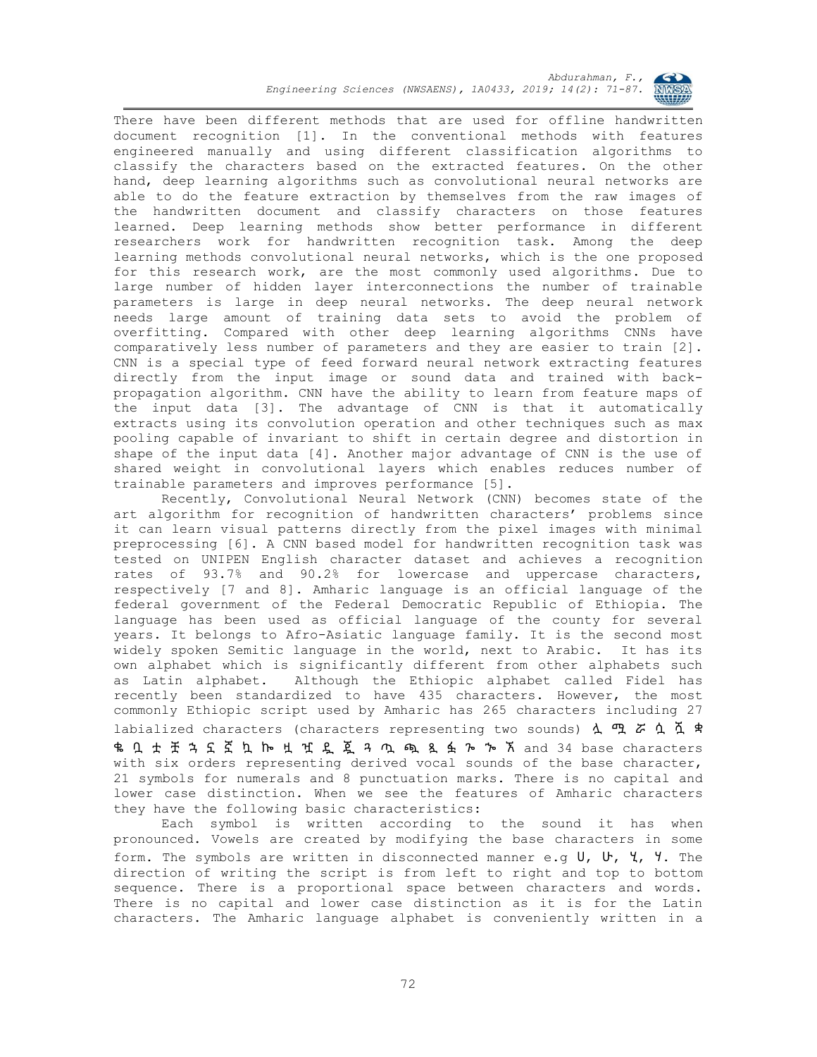

There have been different methods that are used for offline handwritten document recognition [1]. In the conventional methods with features engineered manually and using different classification algorithms to classify the characters based on the extracted features. On the other hand, deep learning algorithms such as convolutional neural networks are able to do the feature extraction by themselves from the raw images of the handwritten document and classify characters on those features learned. Deep learning methods show better performance in different researchers work for handwritten recognition task. Among the deep learning methods convolutional neural networks, which is the one proposed for this research work, are the most commonly used algorithms. Due to large number of hidden layer interconnections the number of trainable parameters is large in deep neural networks. The deep neural network needs large amount of training data sets to avoid the problem of overfitting. Compared with other deep learning algorithms CNNs have comparatively less number of parameters and they are easier to train [2]. CNN is a special type of feed forward neural network extracting features directly from the input image or sound data and trained with backpropagation algorithm. CNN have the ability to learn from feature maps of the input data [3]. The advantage of CNN is that it automatically extracts using its convolution operation and other techniques such as max pooling capable of invariant to shift in certain degree and distortion in shape of the input data [4]. Another major advantage of CNN is the use of shared weight in convolutional layers which enables reduces number of trainable parameters and improves performance [5].

Recently, Convolutional Neural Network (CNN) becomes state of the art algorithm for recognition of handwritten characters' problems since it can learn visual patterns directly from the pixel images with minimal preprocessing [6]. A CNN based model for handwritten recognition task was tested on UNIPEN English character dataset and achieves a recognition rates of 93.7% and 90.2% for lowercase and uppercase characters, respectively [7 and 8]. Amharic language is an official language of the federal government of the Federal Democratic Republic of Ethiopia. The language has been used as official language of the county for several years. It belongs to Afro-Asiatic language family. It is the second most widely spoken Semitic language in the world, next to Arabic. It has its own alphabet which is significantly different from other alphabets such as Latin alphabet. Although the Ethiopic alphabet called Fidel has recently been standardized to have 435 characters. However, the most commonly Ethiopic script used by Amharic has 265 characters including 27 labialized characters (characters representing two sounds)  $\Delta$   $\mathfrak{P}$   $\tilde{\sigma}$   $\Delta$   $\tilde{\Delta}$   $\tilde{\tau}$ ቈ ቧ ቷ ቿ ኋ ኗ ኟ ኳ ኰ ዟ ዧ ዷ ጇ ጓ ጧ ጯ ጿ ፏ ጐ ኈ ኧ and 34 base characters with six orders representing derived vocal sounds of the base character, 21 symbols for numerals and 8 punctuation marks. There is no capital and lower case distinction. When we see the features of Amharic characters they have the following basic characteristics:

Each symbol is written according to the sound it has when pronounced. Vowels are created by modifying the base characters in some form. The symbols are written in disconnected manner e.g ሀ, ሁ, ሂ, ሃ. The direction of writing the script is from left to right and top to bottom sequence. There is a proportional space between characters and words. There is no capital and lower case distinction as it is for the Latin characters. The Amharic language alphabet is conveniently written in a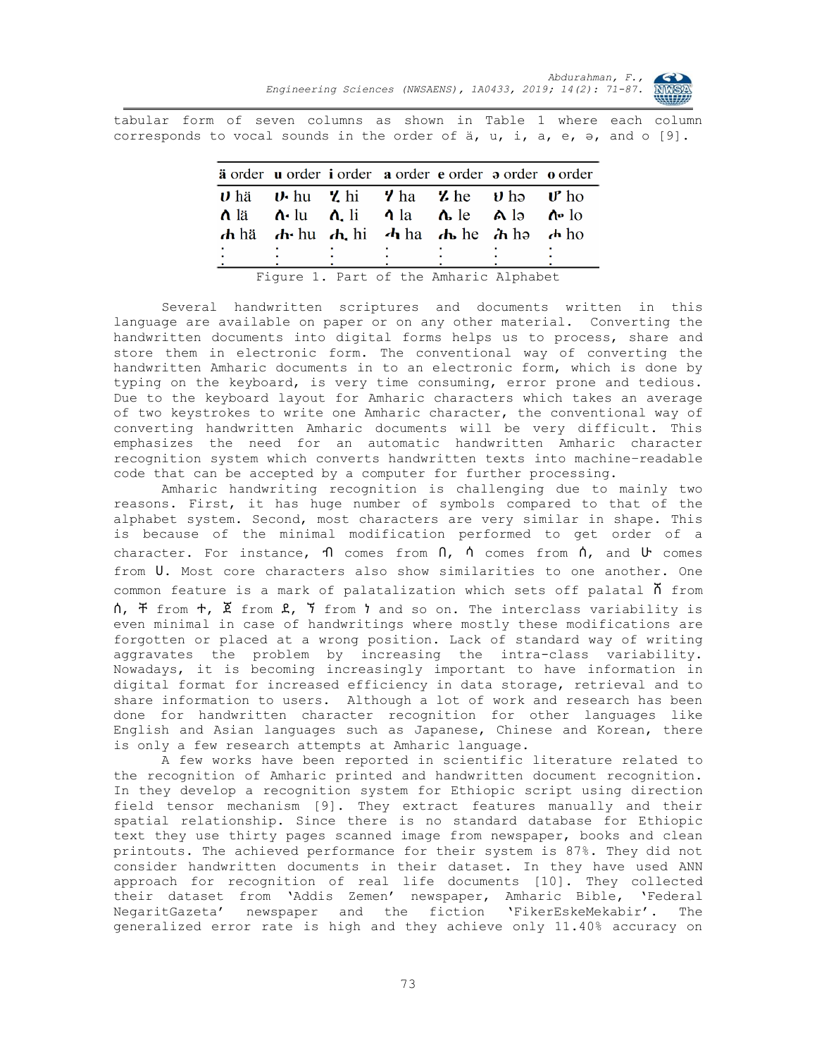

tabular form of seven columns as shown in Table 1 where each column corresponds to vocal sounds in the order of  $a$ ,  $u$ ,  $i$ ,  $a$ ,  $e$ ,  $e$ , and o  $[9]$ .

|   | ä order u order i order a order e order a order o order                                                                                                           |   |  |
|---|-------------------------------------------------------------------------------------------------------------------------------------------------------------------|---|--|
|   | $\boldsymbol{\nu}$ hä $\boldsymbol{\nu}$ -hu $\boldsymbol{\nu}$ -hi $\boldsymbol{\nu}$ -ha $\boldsymbol{\nu}$ -he $\boldsymbol{\nu}$ -ho- $\boldsymbol{\nu}$ -ho- |   |  |
|   | $\Lambda$ lä $\Lambda$ -lu $\Lambda$ li $\Lambda$ la $\Lambda$ le $\Lambda$ lə $\Lambda$ -lo                                                                      |   |  |
|   | $\mathbf{d}$ hä $\mathbf{d}$ hu $\mathbf{d}$ , hi $\mathbf{d}$ ha $\mathbf{d}$ , he $\mathbf{d}$ ha $\mathbf{d}$ ho                                               |   |  |
|   |                                                                                                                                                                   |   |  |
| ٠ |                                                                                                                                                                   | ٠ |  |
|   |                                                                                                                                                                   |   |  |

Figure 1. Part of the Amharic Alphabet

Several handwritten scriptures and documents written in this language are available on paper or on any other material. Converting the handwritten documents into digital forms helps us to process, share and store them in electronic form. The conventional way of converting the handwritten Amharic documents in to an electronic form, which is done by typing on the keyboard, is very time consuming, error prone and tedious. Due to the keyboard layout for Amharic characters which takes an average of two keystrokes to write one Amharic character, the conventional way of converting handwritten Amharic documents will be very difficult. This emphasizes the need for an automatic handwritten Amharic character recognition system which converts handwritten texts into machine–readable code that can be accepted by a computer for further processing.

Amharic handwriting recognition is challenging due to mainly two reasons. First, it has huge number of symbols compared to that of the alphabet system. Second, most characters are very similar in shape. This is because of the minimal modification performed to get order of a character. For instance,  $\eta$  comes from  $\eta$ ,  $\eta$  comes from  $\eta$ , and  $\upsilon$  comes from ሀ. Most core characters also show similarities to one another. One common feature is a mark of palatalization which sets off palatal  $\overline{\Lambda}$  from ሰ, ቸ from ተ, ጀ from ደ, ኘ from ነ and so on. The interclass variability is even minimal in case of handwritings where mostly these modifications are forgotten or placed at a wrong position. Lack of standard way of writing aggravates the problem by increasing the intra-class variability. Nowadays, it is becoming increasingly important to have information in digital format for increased efficiency in data storage, retrieval and to share information to users. Although a lot of work and research has been done for handwritten character recognition for other languages like English and Asian languages such as Japanese, Chinese and Korean, there is only a few research attempts at Amharic language.

A few works have been reported in scientific literature related to the recognition of Amharic printed and handwritten document recognition. In they develop a recognition system for Ethiopic script using direction field tensor mechanism [9]. They extract features manually and their spatial relationship. Since there is no standard database for Ethiopic text they use thirty pages scanned image from newspaper, books and clean printouts. The achieved performance for their system is 87%. They did not consider handwritten documents in their dataset. In they have used ANN approach for recognition of real life documents [10]. They collected their dataset from 'Addis Zemen' newspaper, Amharic Bible, 'Federal NegaritGazeta' newspaper and the fiction 'FikerEskeMekabir'. The generalized error rate is high and they achieve only 11.40% accuracy on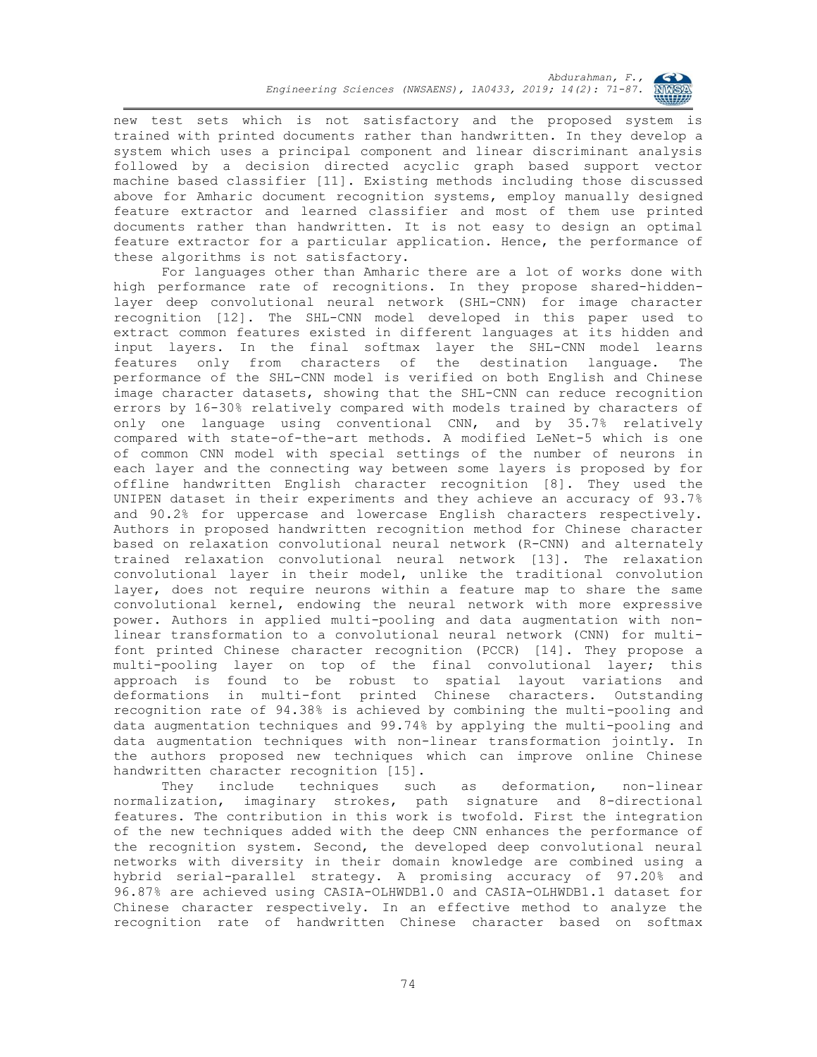

new test sets which is not satisfactory and the proposed system is trained with printed documents rather than handwritten. In they develop a system which uses a principal component and linear discriminant analysis followed by a decision directed acyclic graph based support vector machine based classifier [11]. Existing methods including those discussed above for Amharic document recognition systems, employ manually designed feature extractor and learned classifier and most of them use printed documents rather than handwritten. It is not easy to design an optimal feature extractor for a particular application. Hence, the performance of these algorithms is not satisfactory.

For languages other than Amharic there are a lot of works done with high performance rate of recognitions. In they propose shared-hiddenlayer deep convolutional neural network (SHL-CNN) for image character recognition [12]. The SHL-CNN model developed in this paper used to extract common features existed in different languages at its hidden and input layers. In the final softmax layer the SHL-CNN model learns features only from characters of the destination language. The performance of the SHL-CNN model is verified on both English and Chinese image character datasets, showing that the SHL-CNN can reduce recognition errors by 16-30% relatively compared with models trained by characters of only one language using conventional CNN, and by 35.7% relatively compared with state-of-the-art methods. A modified LeNet-5 which is one of common CNN model with special settings of the number of neurons in each layer and the connecting way between some layers is proposed by for offline handwritten English character recognition [8]. They used the UNIPEN dataset in their experiments and they achieve an accuracy of 93.7% and 90.2% for uppercase and lowercase English characters respectively. Authors in proposed handwritten recognition method for Chinese character based on relaxation convolutional neural network (R-CNN) and alternately trained relaxation convolutional neural network [13]. The relaxation convolutional layer in their model, unlike the traditional convolution layer, does not require neurons within a feature map to share the same convolutional kernel, endowing the neural network with more expressive power. Authors in applied multi-pooling and data augmentation with nonlinear transformation to a convolutional neural network (CNN) for multifont printed Chinese character recognition (PCCR) [14]. They propose a multi-pooling layer on top of the final convolutional layer; this approach is found to be robust to spatial layout variations and deformations in multi-font printed Chinese characters. Outstanding recognition rate of 94.38% is achieved by combining the multi-pooling and data augmentation techniques and 99.74% by applying the multi-pooling and data augmentation techniques with non-linear transformation jointly. In the authors proposed new techniques which can improve online Chinese handwritten character recognition [15].

They include techniques such as deformation, non-linear normalization, imaginary strokes, path signature and 8-directional features. The contribution in this work is twofold. First the integration of the new techniques added with the deep CNN enhances the performance of the recognition system. Second, the developed deep convolutional neural networks with diversity in their domain knowledge are combined using a hybrid serial-parallel strategy. A promising accuracy of 97.20% and 96.87% are achieved using CASIA-OLHWDB1.0 and CASIA-OLHWDB1.1 dataset for Chinese character respectively. In an effective method to analyze the recognition rate of handwritten Chinese character based on softmax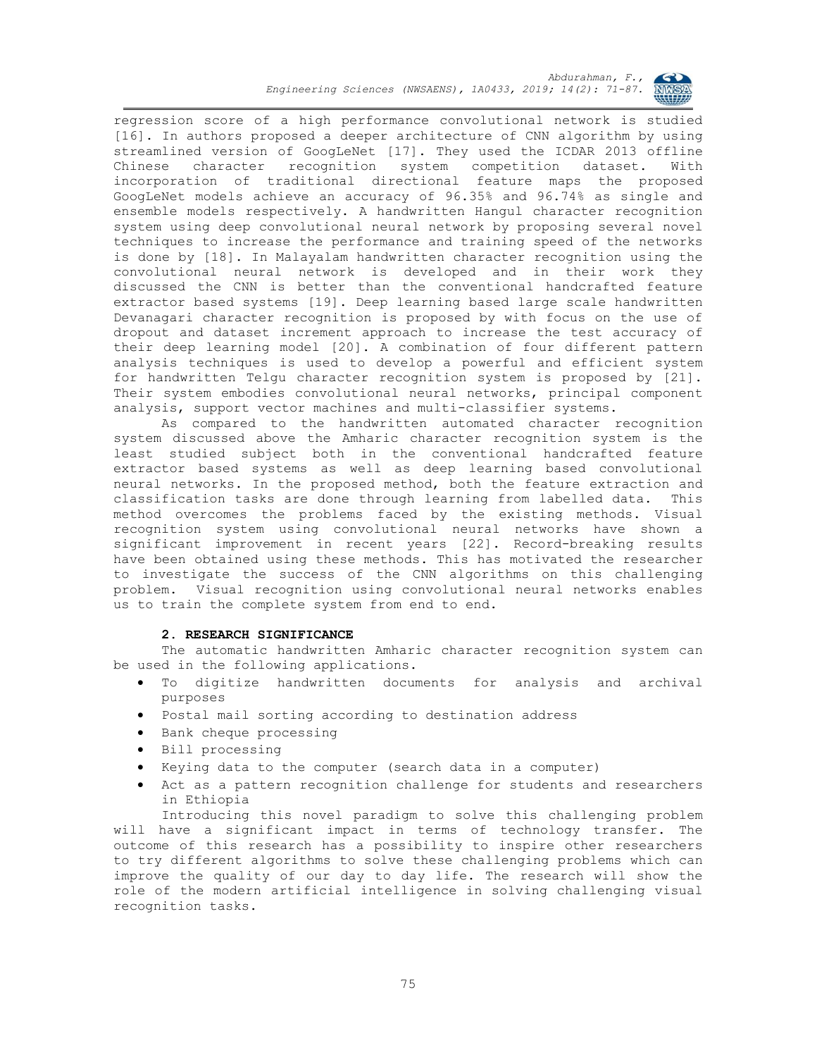

regression score of a high performance convolutional network is studied [16]. In authors proposed a deeper architecture of CNN algorithm by using streamlined version of GoogLeNet [17]. They used the ICDAR 2013 offline Chinese character recognition system competition dataset. With incorporation of traditional directional feature maps the proposed GoogLeNet models achieve an accuracy of 96.35% and 96.74% as single and ensemble models respectively. A handwritten Hangul character recognition system using deep convolutional neural network by proposing several novel techniques to increase the performance and training speed of the networks is done by [18]. In Malayalam handwritten character recognition using the convolutional neural network is developed and in their work they discussed the CNN is better than the conventional handcrafted feature extractor based systems [19]. Deep learning based large scale handwritten Devanagari character recognition is proposed by with focus on the use of dropout and dataset increment approach to increase the test accuracy of their deep learning model [20]. A combination of four different pattern analysis techniques is used to develop a powerful and efficient system for handwritten Telgu character recognition system is proposed by [21]. Their system embodies convolutional neural networks, principal component analysis, support vector machines and multi-classifier systems.

As compared to the handwritten automated character recognition system discussed above the Amharic character recognition system is the least studied subject both in the conventional handcrafted feature extractor based systems as well as deep learning based convolutional neural networks. In the proposed method, both the feature extraction and classification tasks are done through learning from labelled data. This method overcomes the problems faced by the existing methods. Visual recognition system using convolutional neural networks have shown a significant improvement in recent years [22]. Record-breaking results have been obtained using these methods. This has motivated the researcher to investigate the success of the CNN algorithms on this challenging problem. Visual recognition using convolutional neural networks enables us to train the complete system from end to end.

### **2. RESEARCH SIGNIFICANCE**

The automatic handwritten Amharic character recognition system can be used in the following applications.

- To digitize handwritten documents for analysis and archival purposes
- Postal mail sorting according to destination address
- **•** Bank cheque processing
- Bill processing
- Keying data to the computer (search data in a computer)
- Act as a pattern recognition challenge for students and researchers in Ethiopia

Introducing this novel paradigm to solve this challenging problem will have a significant impact in terms of technology transfer. The outcome of this research has a possibility to inspire other researchers to try different algorithms to solve these challenging problems which can improve the quality of our day to day life. The research will show the role of the modern artificial intelligence in solving challenging visual recognition tasks.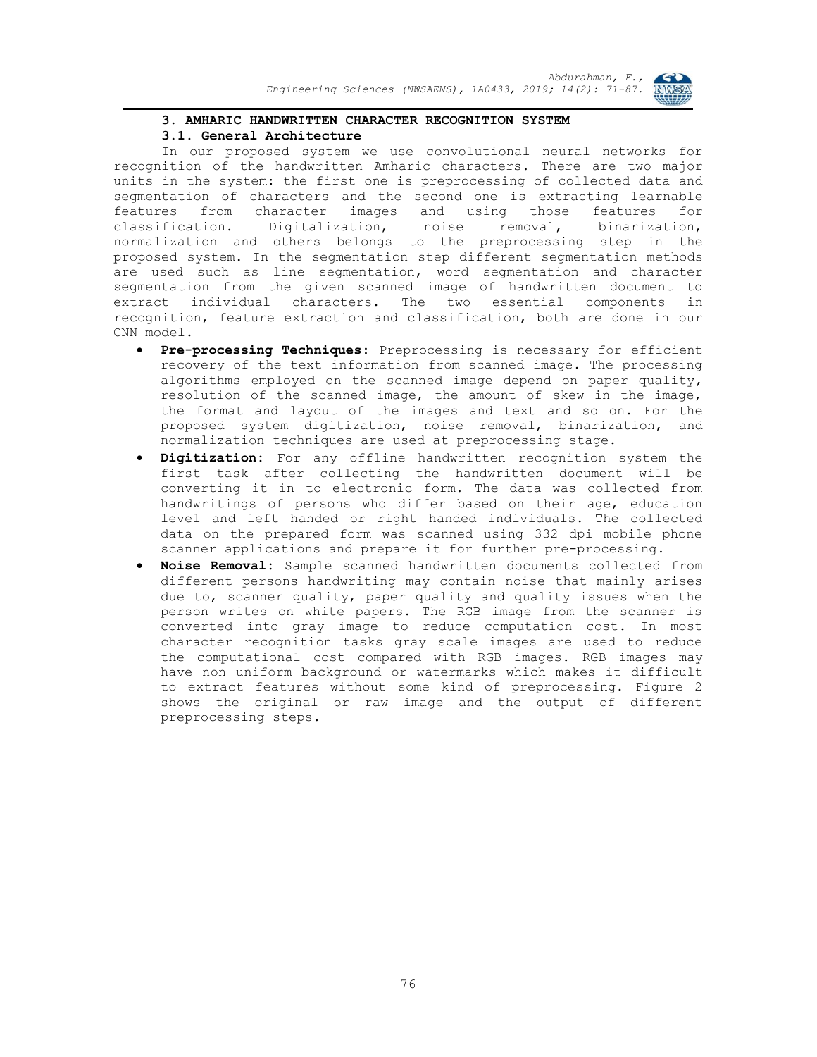

### **3. AMHARIC HANDWRITTEN CHARACTER RECOGNITION SYSTEM**

### **3.1. General Architecture**

In our proposed system we use convolutional neural networks for recognition of the handwritten Amharic characters. There are two major units in the system: the first one is preprocessing of collected data and segmentation of characters and the second one is extracting learnable features from character images and using those features for classification. Digitalization, noise removal, binarization, normalization and others belongs to the preprocessing step in the proposed system. In the segmentation step different segmentation methods are used such as line segmentation, word segmentation and character segmentation from the given scanned image of handwritten document to extract individual characters. The two essential components in recognition, feature extraction and classification, both are done in our CNN model.

- **Pre-processing Techniques:** Preprocessing is necessary for efficient recovery of the text information from scanned image. The processing algorithms employed on the scanned image depend on paper quality, resolution of the scanned image, the amount of skew in the image, the format and layout of the images and text and so on. For the proposed system digitization, noise removal, binarization, and normalization techniques are used at preprocessing stage.
- **Digitization:** For any offline handwritten recognition system the first task after collecting the handwritten document will be converting it in to electronic form. The data was collected from handwritings of persons who differ based on their age, education level and left handed or right handed individuals. The collected data on the prepared form was scanned using 332 dpi mobile phone scanner applications and prepare it for further pre-processing.
- **Noise Removal:** Sample scanned handwritten documents collected from different persons handwriting may contain noise that mainly arises due to, scanner quality, paper quality and quality issues when the person writes on white papers. The RGB image from the scanner is converted into gray image to reduce computation cost. In most character recognition tasks gray scale images are used to reduce the computational cost compared with RGB images. RGB images may have non uniform background or watermarks which makes it difficult to extract features without some kind of preprocessing. Figure 2 shows the original or raw image and the output of different preprocessing steps.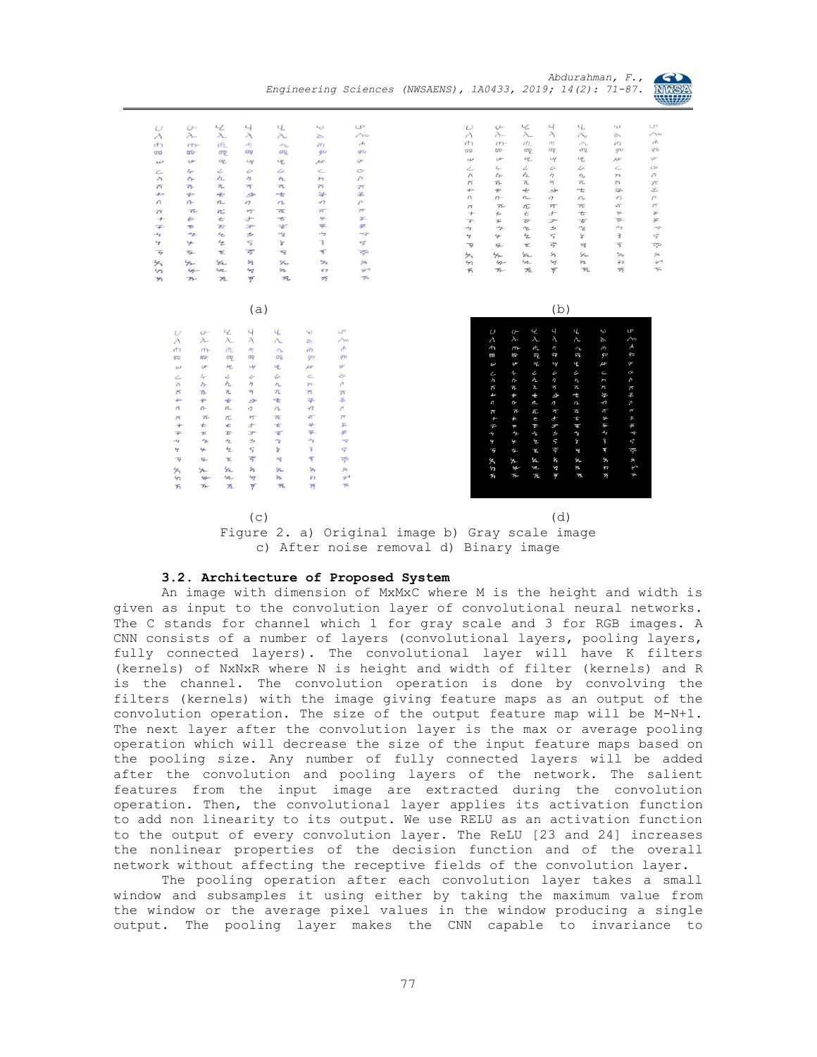



| $\epsilon$<br>$\overline{4}$<br>4.<br>$U -$<br>$\epsilon$<br>$\cup$<br>$\lambda_-$<br>$\lambda$<br>$\lambda$<br>$\lambda$<br>$\lambda$<br>í5<br>$n +$<br>ntz<br>$\sigma$<br>$\pi_1$<br>$+1$<br>$\pi_{\rm b}$<br>$\sigma\eta$<br>$00-$<br>ap<br>ay<br>qD<br><b>and</b><br>$U^{\mu}$<br>щ<br>LHG<br>w<br>4<br>$\mathbf{u}$<br>Ċ<br>۷<br>۷<br>$z_{\tau}$<br>ı<br>ے<br>h<br>ヶ<br>n<br>$\lambda$<br>$\uparrow$<br>$\mathcal{M}_{\mathcal{A}}$<br>$\pi$<br>万<br>$\overline{\phantom{a}}$<br>$\overline{\Omega}$<br>帀<br>$\overline{D}$<br>$\Rightarrow$<br>$+$<br>4<br>-t<br>$\Rightarrow$<br>$\Rightarrow$<br>$\sqrt{2}$<br>n<br>$\mathfrak{n}$<br>$\overline{ }$<br>$\sigma$<br>$\sim$<br>$\pi$<br>$\overline{n}$<br>$\overline{\Lambda}$<br>$\overline{n}$<br>$\overline{\eta}$<br>$\overline{\phantom{1}}$<br>$\pm$<br>$\overline{\phantom{a}}$<br>$4 -$<br>$^{+}$<br>$+$<br>t<br>$\frac{1}{2}$<br>$\overline{E}$<br>デ<br>$\overline{\tau}$<br>$\mp$<br><b>TE</b><br>$\rightarrow$<br><b>うん</b><br>47<br>$\epsilon$<br>$\mathcal{L}$<br>$\rightarrow$<br>$\overline{3}$<br>$\mathcal{L}$<br>$\varsigma$<br>$\mathbf{\acute{z}}$<br>$\mathcal{L}_{\mathcal{I}}$<br>$\frac{1}{2}$<br>Ξ<br>亏<br>$\overline{\mathbf{x}}$<br>$\overline{4}$<br>τ<br>乒<br>$\frac{1}{2}$<br>$\mathcal{L}_{\mathbf{L}}$<br>Su<br>S,<br>$\rightarrow$<br>矢<br>n<br>$\mathcal{A}$<br>n<br>$\sqrt{7}$<br>$\mathfrak{m}$<br>$4 -$<br>$\overline{\bf z}$<br>$\overline{7}$<br>玩<br>$\overline{\mathcal{R}}$<br>万<br>$\mathcal{F}_{\mathcal{F}^-}$<br>(a)<br>$\epsilon$<br>$\overline{4}$<br>LP<br>Ч.<br>$\cup$<br>$L_{\nu}$<br>$\cup$<br>$\lambda$<br>$\lambda$<br>$\lambda$<br>$\lambda$<br>$\lambda$<br>$\lambda$<br>B.<br>$\sqrt{h}$<br>边.<br>$d\eta$<br>$\uparrow$<br>$H_{\rm b}$<br>$\ddot{n}$<br>m<br>90<br>ay<br>or<br>$q\mathbf{v}$<br>$00-$<br>$a\overline{v}$<br>സ<br>LK.<br>$\overline{\boldsymbol{\varphi}}$<br>$U^+$<br>uL<br>$\mathcal{U}$<br>$\mu$<br>w<br>$\circ$<br>$4 -$<br>$\mathcal{L}% _{G}(\theta)=\mathcal{L}_{G}(\theta)$<br>4<br>$\subset$<br>i<br>$\epsilon$<br>h<br>h<br>$\eta$<br>$\lambda$<br>$h_{\rm b}$<br>$\lambda$<br>$\uparrow$<br>可<br>75<br>亓<br>乔<br>$\overline{n}$<br>n<br>$\pi$<br>毕<br>苯<br>$+$<br>$\div$<br>÷<br>$\ddot{\phi}$<br>\$<br>$\Lambda$<br>$\sqrt{ }$<br>$\rightarrow$<br>$\mathfrak{n}$<br>$\eta$<br>$\overline{a}$<br>$\sigma$<br>$\overline{\Lambda}$<br>$\overline{\phantom{1}}$<br>$\pi$<br>$\overline{\mathcal{F}_1}$<br>$\overline{75}$<br>$\pi$<br>$\pi$<br>$\rightarrow$<br>$\pm$<br>$4 -$<br>$\pm$<br>$\overline{\phantom{a}}$<br>$^{+}$<br>亡<br>乒<br>Ŧ<br>尹<br>舌<br>$\mp$<br>$\overline{E}$<br>下<br>$\kappa_{\rm T}$<br>$\rightarrow$<br>÷<br>47<br>$\mathcal{A}_{\mathbf{Z}}$<br>$\tau_{\rm z}$<br>$\mathcal{A}_{\mathcal{I}}$<br>3<br>$\mathcal{L}$<br>$\varsigma$<br>r<br>$\varsigma$<br>Ч<br>$\frac{1}{2}$<br>亏<br>$\overline{\mathcal{B}_2}$<br>$\overline{z}$<br>Ξ<br>$\tau_{\vec{L}}$<br>$\overline{\mathcal{S}}^{\mathsf{G}}$<br>$\overline{4}$<br>乞<br>S.<br>Ł.<br>$\frac{1}{2}$ | LP<br>$\lambda$<br>$\epsilon$<br>$q_{D}$<br>$\omega$<br>Ò<br>n<br>$\overline{\Lambda}$<br>圣<br>$\sqrt{ }$<br>$\overline{\pi}$<br>字<br>乒<br>÷<br>$\varsigma$<br>$\overline{\zeta^5}$<br>St.<br>$\curvearrowleft$ | $\cup$<br>$\lambda$<br>$+1$<br>00<br>w<br>ے<br>$\wedge$<br>$\pi$<br>$\leftarrow$<br>$\sqrt{ }$<br>$\pi$<br>$^{+}$<br>$\mp$<br>$\mathcal{A}_{\mathcal{I}}$<br>$\mathcal{L}_{\mathbb{Z}}$ | U<br>$\lambda$<br>$r + 1$<br>$CD^-$<br>$U^{\mu}$<br>$\frac{2}{T}$<br>$\wedge$<br>兀<br>$\neq$<br>$n -$<br>$\pi$<br>$\leftarrow$<br>王 | $\mathcal{L}$<br>$\lambda$<br>$n\nu$<br>an<br>$\ensuremath{\mathnormal{u_{L}}}$<br>$\mathcal{L}% _{G}=\mathcal{L}_{G}$<br>h<br>$\overline{n}$<br>÷<br>n<br>π<br>t | $\overline{4}$<br>$\lambda$<br>197<br>$a\eta$<br>$\mathcal{U}$<br>i<br>カ<br>$\overline{\sigma}$<br>S<br>$\eta$<br>7T | 4<br>$\lambda$<br>rh<br>ση.<br>$\mathcal{U}_\mathrm{c}$<br>i.<br>$r_{\rm b}$<br>$\overline{\Lambda}$<br>$-\epsilon$<br>$\sim$ | $L_{\nu}$<br>15<br>$\tilde{n}$<br>$g\omega$<br>$\mu\nu$<br>$\subset$<br>$\succ$<br>$\overline{D}$<br>$\frac{1}{2}$ |
|--------------------------------------------------------------------------------------------------------------------------------------------------------------------------------------------------------------------------------------------------------------------------------------------------------------------------------------------------------------------------------------------------------------------------------------------------------------------------------------------------------------------------------------------------------------------------------------------------------------------------------------------------------------------------------------------------------------------------------------------------------------------------------------------------------------------------------------------------------------------------------------------------------------------------------------------------------------------------------------------------------------------------------------------------------------------------------------------------------------------------------------------------------------------------------------------------------------------------------------------------------------------------------------------------------------------------------------------------------------------------------------------------------------------------------------------------------------------------------------------------------------------------------------------------------------------------------------------------------------------------------------------------------------------------------------------------------------------------------------------------------------------------------------------------------------------------------------------------------------------------------------------------------------------------------------------------------------------------------------------------------------------------------------------------------------------------------------------------------------------------------------------------------------------------------------------------------------------------------------------------------------------------------------------------------------------------------------------------------------------------------------------------------------------------------------------------------------------------------------------------------------------------------------------------------------------------------------------------------------------------------------------------------------------------------------------------------------------------------------------------------------------------------------------------------------------------------------------------------------------------------------------------------------------------------------------------------------------------------------------------------------------------|-----------------------------------------------------------------------------------------------------------------------------------------------------------------------------------------------------------------|-----------------------------------------------------------------------------------------------------------------------------------------------------------------------------------------|-------------------------------------------------------------------------------------------------------------------------------------|-------------------------------------------------------------------------------------------------------------------------------------------------------------------|----------------------------------------------------------------------------------------------------------------------|-------------------------------------------------------------------------------------------------------------------------------|--------------------------------------------------------------------------------------------------------------------|
|                                                                                                                                                                                                                                                                                                                                                                                                                                                                                                                                                                                                                                                                                                                                                                                                                                                                                                                                                                                                                                                                                                                                                                                                                                                                                                                                                                                                                                                                                                                                                                                                                                                                                                                                                                                                                                                                                                                                                                                                                                                                                                                                                                                                                                                                                                                                                                                                                                                                                                                                                                                                                                                                                                                                                                                                                                                                                                                                                                                                                          |                                                                                                                                                                                                                 |                                                                                                                                                                                         |                                                                                                                                     |                                                                                                                                                                   |                                                                                                                      |                                                                                                                               |                                                                                                                    |
|                                                                                                                                                                                                                                                                                                                                                                                                                                                                                                                                                                                                                                                                                                                                                                                                                                                                                                                                                                                                                                                                                                                                                                                                                                                                                                                                                                                                                                                                                                                                                                                                                                                                                                                                                                                                                                                                                                                                                                                                                                                                                                                                                                                                                                                                                                                                                                                                                                                                                                                                                                                                                                                                                                                                                                                                                                                                                                                                                                                                                          |                                                                                                                                                                                                                 |                                                                                                                                                                                         |                                                                                                                                     |                                                                                                                                                                   |                                                                                                                      |                                                                                                                               |                                                                                                                    |
|                                                                                                                                                                                                                                                                                                                                                                                                                                                                                                                                                                                                                                                                                                                                                                                                                                                                                                                                                                                                                                                                                                                                                                                                                                                                                                                                                                                                                                                                                                                                                                                                                                                                                                                                                                                                                                                                                                                                                                                                                                                                                                                                                                                                                                                                                                                                                                                                                                                                                                                                                                                                                                                                                                                                                                                                                                                                                                                                                                                                                          |                                                                                                                                                                                                                 |                                                                                                                                                                                         |                                                                                                                                     |                                                                                                                                                                   |                                                                                                                      |                                                                                                                               |                                                                                                                    |
|                                                                                                                                                                                                                                                                                                                                                                                                                                                                                                                                                                                                                                                                                                                                                                                                                                                                                                                                                                                                                                                                                                                                                                                                                                                                                                                                                                                                                                                                                                                                                                                                                                                                                                                                                                                                                                                                                                                                                                                                                                                                                                                                                                                                                                                                                                                                                                                                                                                                                                                                                                                                                                                                                                                                                                                                                                                                                                                                                                                                                          |                                                                                                                                                                                                                 |                                                                                                                                                                                         |                                                                                                                                     |                                                                                                                                                                   |                                                                                                                      |                                                                                                                               |                                                                                                                    |
|                                                                                                                                                                                                                                                                                                                                                                                                                                                                                                                                                                                                                                                                                                                                                                                                                                                                                                                                                                                                                                                                                                                                                                                                                                                                                                                                                                                                                                                                                                                                                                                                                                                                                                                                                                                                                                                                                                                                                                                                                                                                                                                                                                                                                                                                                                                                                                                                                                                                                                                                                                                                                                                                                                                                                                                                                                                                                                                                                                                                                          |                                                                                                                                                                                                                 |                                                                                                                                                                                         |                                                                                                                                     |                                                                                                                                                                   |                                                                                                                      |                                                                                                                               |                                                                                                                    |
|                                                                                                                                                                                                                                                                                                                                                                                                                                                                                                                                                                                                                                                                                                                                                                                                                                                                                                                                                                                                                                                                                                                                                                                                                                                                                                                                                                                                                                                                                                                                                                                                                                                                                                                                                                                                                                                                                                                                                                                                                                                                                                                                                                                                                                                                                                                                                                                                                                                                                                                                                                                                                                                                                                                                                                                                                                                                                                                                                                                                                          |                                                                                                                                                                                                                 |                                                                                                                                                                                         |                                                                                                                                     |                                                                                                                                                                   |                                                                                                                      |                                                                                                                               |                                                                                                                    |
|                                                                                                                                                                                                                                                                                                                                                                                                                                                                                                                                                                                                                                                                                                                                                                                                                                                                                                                                                                                                                                                                                                                                                                                                                                                                                                                                                                                                                                                                                                                                                                                                                                                                                                                                                                                                                                                                                                                                                                                                                                                                                                                                                                                                                                                                                                                                                                                                                                                                                                                                                                                                                                                                                                                                                                                                                                                                                                                                                                                                                          |                                                                                                                                                                                                                 |                                                                                                                                                                                         |                                                                                                                                     |                                                                                                                                                                   |                                                                                                                      |                                                                                                                               |                                                                                                                    |
|                                                                                                                                                                                                                                                                                                                                                                                                                                                                                                                                                                                                                                                                                                                                                                                                                                                                                                                                                                                                                                                                                                                                                                                                                                                                                                                                                                                                                                                                                                                                                                                                                                                                                                                                                                                                                                                                                                                                                                                                                                                                                                                                                                                                                                                                                                                                                                                                                                                                                                                                                                                                                                                                                                                                                                                                                                                                                                                                                                                                                          |                                                                                                                                                                                                                 |                                                                                                                                                                                         |                                                                                                                                     |                                                                                                                                                                   |                                                                                                                      |                                                                                                                               |                                                                                                                    |
|                                                                                                                                                                                                                                                                                                                                                                                                                                                                                                                                                                                                                                                                                                                                                                                                                                                                                                                                                                                                                                                                                                                                                                                                                                                                                                                                                                                                                                                                                                                                                                                                                                                                                                                                                                                                                                                                                                                                                                                                                                                                                                                                                                                                                                                                                                                                                                                                                                                                                                                                                                                                                                                                                                                                                                                                                                                                                                                                                                                                                          |                                                                                                                                                                                                                 |                                                                                                                                                                                         |                                                                                                                                     |                                                                                                                                                                   |                                                                                                                      |                                                                                                                               | $\mathcal{L}$                                                                                                      |
|                                                                                                                                                                                                                                                                                                                                                                                                                                                                                                                                                                                                                                                                                                                                                                                                                                                                                                                                                                                                                                                                                                                                                                                                                                                                                                                                                                                                                                                                                                                                                                                                                                                                                                                                                                                                                                                                                                                                                                                                                                                                                                                                                                                                                                                                                                                                                                                                                                                                                                                                                                                                                                                                                                                                                                                                                                                                                                                                                                                                                          |                                                                                                                                                                                                                 |                                                                                                                                                                                         |                                                                                                                                     |                                                                                                                                                                   |                                                                                                                      | $\pi$                                                                                                                         | $\overline{\sigma}$                                                                                                |
|                                                                                                                                                                                                                                                                                                                                                                                                                                                                                                                                                                                                                                                                                                                                                                                                                                                                                                                                                                                                                                                                                                                                                                                                                                                                                                                                                                                                                                                                                                                                                                                                                                                                                                                                                                                                                                                                                                                                                                                                                                                                                                                                                                                                                                                                                                                                                                                                                                                                                                                                                                                                                                                                                                                                                                                                                                                                                                                                                                                                                          |                                                                                                                                                                                                                 |                                                                                                                                                                                         |                                                                                                                                     |                                                                                                                                                                   | $^{+}$                                                                                                               | $\overline{\phantom{a}}$                                                                                                      | $4 -$                                                                                                              |
|                                                                                                                                                                                                                                                                                                                                                                                                                                                                                                                                                                                                                                                                                                                                                                                                                                                                                                                                                                                                                                                                                                                                                                                                                                                                                                                                                                                                                                                                                                                                                                                                                                                                                                                                                                                                                                                                                                                                                                                                                                                                                                                                                                                                                                                                                                                                                                                                                                                                                                                                                                                                                                                                                                                                                                                                                                                                                                                                                                                                                          |                                                                                                                                                                                                                 |                                                                                                                                                                                         |                                                                                                                                     | $\overline{\mathcal{L}}$                                                                                                                                          | F                                                                                                                    | $\overline{\boldsymbol{\tau}}$                                                                                                | 写                                                                                                                  |
|                                                                                                                                                                                                                                                                                                                                                                                                                                                                                                                                                                                                                                                                                                                                                                                                                                                                                                                                                                                                                                                                                                                                                                                                                                                                                                                                                                                                                                                                                                                                                                                                                                                                                                                                                                                                                                                                                                                                                                                                                                                                                                                                                                                                                                                                                                                                                                                                                                                                                                                                                                                                                                                                                                                                                                                                                                                                                                                                                                                                                          |                                                                                                                                                                                                                 |                                                                                                                                                                                         | $\mathcal{A}_{\mathcal{F}}$                                                                                                         | $\epsilon_{\rm L}$                                                                                                                                                | $\Rightarrow$                                                                                                        | $\mathcal{L}$                                                                                                                 | $\kappa_{7}$                                                                                                       |
|                                                                                                                                                                                                                                                                                                                                                                                                                                                                                                                                                                                                                                                                                                                                                                                                                                                                                                                                                                                                                                                                                                                                                                                                                                                                                                                                                                                                                                                                                                                                                                                                                                                                                                                                                                                                                                                                                                                                                                                                                                                                                                                                                                                                                                                                                                                                                                                                                                                                                                                                                                                                                                                                                                                                                                                                                                                                                                                                                                                                                          |                                                                                                                                                                                                                 |                                                                                                                                                                                         | y                                                                                                                                   | $\mathcal{L}$                                                                                                                                                     | $\varsigma$                                                                                                          | 8                                                                                                                             | 3                                                                                                                  |
|                                                                                                                                                                                                                                                                                                                                                                                                                                                                                                                                                                                                                                                                                                                                                                                                                                                                                                                                                                                                                                                                                                                                                                                                                                                                                                                                                                                                                                                                                                                                                                                                                                                                                                                                                                                                                                                                                                                                                                                                                                                                                                                                                                                                                                                                                                                                                                                                                                                                                                                                                                                                                                                                                                                                                                                                                                                                                                                                                                                                                          |                                                                                                                                                                                                                 | $\overline{q}$                                                                                                                                                                          | 乒                                                                                                                                   | 王                                                                                                                                                                 | $\vec{z}$                                                                                                            | $\overline{\mathbf{z}}$                                                                                                       | 写                                                                                                                  |
|                                                                                                                                                                                                                                                                                                                                                                                                                                                                                                                                                                                                                                                                                                                                                                                                                                                                                                                                                                                                                                                                                                                                                                                                                                                                                                                                                                                                                                                                                                                                                                                                                                                                                                                                                                                                                                                                                                                                                                                                                                                                                                                                                                                                                                                                                                                                                                                                                                                                                                                                                                                                                                                                                                                                                                                                                                                                                                                                                                                                                          |                                                                                                                                                                                                                 | 4                                                                                                                                                                                       | $\rightarrow$                                                                                                                       | $\mathcal{C}_{\text{L}}$                                                                                                                                          | $\mathcal{G}_1$                                                                                                      | $\mathcal{L}_{\omega}$                                                                                                        | $\mathcal{G}_t$                                                                                                    |
|                                                                                                                                                                                                                                                                                                                                                                                                                                                                                                                                                                                                                                                                                                                                                                                                                                                                                                                                                                                                                                                                                                                                                                                                                                                                                                                                                                                                                                                                                                                                                                                                                                                                                                                                                                                                                                                                                                                                                                                                                                                                                                                                                                                                                                                                                                                                                                                                                                                                                                                                                                                                                                                                                                                                                                                                                                                                                                                                                                                                                          |                                                                                                                                                                                                                 | $\mathfrak n$                                                                                                                                                                           | 4                                                                                                                                   | n                                                                                                                                                                 | $\mathcal{L}$                                                                                                        | $\boldsymbol{n}$                                                                                                              | 47                                                                                                                 |
|                                                                                                                                                                                                                                                                                                                                                                                                                                                                                                                                                                                                                                                                                                                                                                                                                                                                                                                                                                                                                                                                                                                                                                                                                                                                                                                                                                                                                                                                                                                                                                                                                                                                                                                                                                                                                                                                                                                                                                                                                                                                                                                                                                                                                                                                                                                                                                                                                                                                                                                                                                                                                                                                                                                                                                                                                                                                                                                                                                                                                          |                                                                                                                                                                                                                 | 万                                                                                                                                                                                       | ア                                                                                                                                   | 万                                                                                                                                                                 | $\overline{7}$                                                                                                       | $\overline{\mathcal{P}}\overline{\mathcal{U}}$                                                                                | 万                                                                                                                  |
|                                                                                                                                                                                                                                                                                                                                                                                                                                                                                                                                                                                                                                                                                                                                                                                                                                                                                                                                                                                                                                                                                                                                                                                                                                                                                                                                                                                                                                                                                                                                                                                                                                                                                                                                                                                                                                                                                                                                                                                                                                                                                                                                                                                                                                                                                                                                                                                                                                                                                                                                                                                                                                                                                                                                                                                                                                                                                                                                                                                                                          | $\overline{\phantom{a}}$                                                                                                                                                                                        |                                                                                                                                                                                         |                                                                                                                                     |                                                                                                                                                                   |                                                                                                                      |                                                                                                                               |                                                                                                                    |
|                                                                                                                                                                                                                                                                                                                                                                                                                                                                                                                                                                                                                                                                                                                                                                                                                                                                                                                                                                                                                                                                                                                                                                                                                                                                                                                                                                                                                                                                                                                                                                                                                                                                                                                                                                                                                                                                                                                                                                                                                                                                                                                                                                                                                                                                                                                                                                                                                                                                                                                                                                                                                                                                                                                                                                                                                                                                                                                                                                                                                          |                                                                                                                                                                                                                 |                                                                                                                                                                                         | $\overline{\nu}$                                                                                                                    | U<br>Ł                                                                                                                                                            | $\overline{a}$                                                                                                       | Ч,                                                                                                                            | LP<br>$\ddot{\theta}$                                                                                              |
|                                                                                                                                                                                                                                                                                                                                                                                                                                                                                                                                                                                                                                                                                                                                                                                                                                                                                                                                                                                                                                                                                                                                                                                                                                                                                                                                                                                                                                                                                                                                                                                                                                                                                                                                                                                                                                                                                                                                                                                                                                                                                                                                                                                                                                                                                                                                                                                                                                                                                                                                                                                                                                                                                                                                                                                                                                                                                                                                                                                                                          |                                                                                                                                                                                                                 |                                                                                                                                                                                         | $\lambda$                                                                                                                           | $\lambda$<br>$\lambda_{\!-}$                                                                                                                                      | $\lambda$                                                                                                            | $\lambda$                                                                                                                     | $\rightsquigarrow$<br>Ý,                                                                                           |
|                                                                                                                                                                                                                                                                                                                                                                                                                                                                                                                                                                                                                                                                                                                                                                                                                                                                                                                                                                                                                                                                                                                                                                                                                                                                                                                                                                                                                                                                                                                                                                                                                                                                                                                                                                                                                                                                                                                                                                                                                                                                                                                                                                                                                                                                                                                                                                                                                                                                                                                                                                                                                                                                                                                                                                                                                                                                                                                                                                                                                          |                                                                                                                                                                                                                 |                                                                                                                                                                                         | $\uparrow$                                                                                                                          | 几<br>ť                                                                                                                                                            | 雨                                                                                                                    | h                                                                                                                             | $\sqrt{2}$<br>ň                                                                                                    |
|                                                                                                                                                                                                                                                                                                                                                                                                                                                                                                                                                                                                                                                                                                                                                                                                                                                                                                                                                                                                                                                                                                                                                                                                                                                                                                                                                                                                                                                                                                                                                                                                                                                                                                                                                                                                                                                                                                                                                                                                                                                                                                                                                                                                                                                                                                                                                                                                                                                                                                                                                                                                                                                                                                                                                                                                                                                                                                                                                                                                                          |                                                                                                                                                                                                                 |                                                                                                                                                                                         | $\omega$                                                                                                                            | <b>UD</b><br>aq.                                                                                                                                                  | ay                                                                                                                   | οų,                                                                                                                           | фD<br>$q_{\rm D}$                                                                                                  |
|                                                                                                                                                                                                                                                                                                                                                                                                                                                                                                                                                                                                                                                                                                                                                                                                                                                                                                                                                                                                                                                                                                                                                                                                                                                                                                                                                                                                                                                                                                                                                                                                                                                                                                                                                                                                                                                                                                                                                                                                                                                                                                                                                                                                                                                                                                                                                                                                                                                                                                                                                                                                                                                                                                                                                                                                                                                                                                                                                                                                                          |                                                                                                                                                                                                                 |                                                                                                                                                                                         | $\boldsymbol{\omega}$                                                                                                               | Ę<br>щ                                                                                                                                                            | $\mathcal{U}$                                                                                                        | Щ                                                                                                                             | $\mu\nu$<br>$\boldsymbol{\omega}$                                                                                  |
|                                                                                                                                                                                                                                                                                                                                                                                                                                                                                                                                                                                                                                                                                                                                                                                                                                                                                                                                                                                                                                                                                                                                                                                                                                                                                                                                                                                                                                                                                                                                                                                                                                                                                                                                                                                                                                                                                                                                                                                                                                                                                                                                                                                                                                                                                                                                                                                                                                                                                                                                                                                                                                                                                                                                                                                                                                                                                                                                                                                                                          |                                                                                                                                                                                                                 |                                                                                                                                                                                         | ے                                                                                                                                   | $\mathcal{L}_{\mu\nu}$<br>ሪ                                                                                                                                       | $\mathcal{C}$                                                                                                        | $\pmb{\mathcal{L}}$                                                                                                           | $\subset$<br>9                                                                                                     |
|                                                                                                                                                                                                                                                                                                                                                                                                                                                                                                                                                                                                                                                                                                                                                                                                                                                                                                                                                                                                                                                                                                                                                                                                                                                                                                                                                                                                                                                                                                                                                                                                                                                                                                                                                                                                                                                                                                                                                                                                                                                                                                                                                                                                                                                                                                                                                                                                                                                                                                                                                                                                                                                                                                                                                                                                                                                                                                                                                                                                                          |                                                                                                                                                                                                                 |                                                                                                                                                                                         | $\lambda$                                                                                                                           | ん<br>$\uparrow$                                                                                                                                                   | $\boldsymbol{\eta}$                                                                                                  | $r_{\rm b}$                                                                                                                   | $\overline{c}$<br>Z                                                                                                |
|                                                                                                                                                                                                                                                                                                                                                                                                                                                                                                                                                                                                                                                                                                                                                                                                                                                                                                                                                                                                                                                                                                                                                                                                                                                                                                                                                                                                                                                                                                                                                                                                                                                                                                                                                                                                                                                                                                                                                                                                                                                                                                                                                                                                                                                                                                                                                                                                                                                                                                                                                                                                                                                                                                                                                                                                                                                                                                                                                                                                                          |                                                                                                                                                                                                                 |                                                                                                                                                                                         | $\pi$                                                                                                                               | $\pi$<br>75.                                                                                                                                                      | $\overline{\gamma}$                                                                                                  | $\pi$                                                                                                                         | $\overline{D}$<br>$\pi$                                                                                            |
|                                                                                                                                                                                                                                                                                                                                                                                                                                                                                                                                                                                                                                                                                                                                                                                                                                                                                                                                                                                                                                                                                                                                                                                                                                                                                                                                                                                                                                                                                                                                                                                                                                                                                                                                                                                                                                                                                                                                                                                                                                                                                                                                                                                                                                                                                                                                                                                                                                                                                                                                                                                                                                                                                                                                                                                                                                                                                                                                                                                                                          |                                                                                                                                                                                                                 |                                                                                                                                                                                         | ¢                                                                                                                                   | ф<br>$\bf \bm{\div}$                                                                                                                                              | Þ                                                                                                                    | ф                                                                                                                             | 名<br>学                                                                                                             |
|                                                                                                                                                                                                                                                                                                                                                                                                                                                                                                                                                                                                                                                                                                                                                                                                                                                                                                                                                                                                                                                                                                                                                                                                                                                                                                                                                                                                                                                                                                                                                                                                                                                                                                                                                                                                                                                                                                                                                                                                                                                                                                                                                                                                                                                                                                                                                                                                                                                                                                                                                                                                                                                                                                                                                                                                                                                                                                                                                                                                                          |                                                                                                                                                                                                                 |                                                                                                                                                                                         | $\Lambda$                                                                                                                           | $\sim$<br>n                                                                                                                                                       | $\eta$                                                                                                               | $\mathfrak{c}$                                                                                                                | $\boldsymbol{\eta}$<br>$\sqrt{ }$                                                                                  |
|                                                                                                                                                                                                                                                                                                                                                                                                                                                                                                                                                                                                                                                                                                                                                                                                                                                                                                                                                                                                                                                                                                                                                                                                                                                                                                                                                                                                                                                                                                                                                                                                                                                                                                                                                                                                                                                                                                                                                                                                                                                                                                                                                                                                                                                                                                                                                                                                                                                                                                                                                                                                                                                                                                                                                                                                                                                                                                                                                                                                                          |                                                                                                                                                                                                                 |                                                                                                                                                                                         | $\pi$<br>$\leftarrow$                                                                                                               | $\bar{n}$<br>π<br>E<br>t                                                                                                                                          | $\overline{\eta}$<br>Ļ                                                                                               | ک<br>$\overline{\phantom{a}}$                                                                                                 | ř<br>$\overline{\phantom{a}}$<br>乒<br>₽                                                                            |
|                                                                                                                                                                                                                                                                                                                                                                                                                                                                                                                                                                                                                                                                                                                                                                                                                                                                                                                                                                                                                                                                                                                                                                                                                                                                                                                                                                                                                                                                                                                                                                                                                                                                                                                                                                                                                                                                                                                                                                                                                                                                                                                                                                                                                                                                                                                                                                                                                                                                                                                                                                                                                                                                                                                                                                                                                                                                                                                                                                                                                          |                                                                                                                                                                                                                 |                                                                                                                                                                                         | $\mp$                                                                                                                               | $\overline{\mathcal{E}}$<br>邪                                                                                                                                     | P                                                                                                                    | $\overline{\mathcal{C}}$                                                                                                      | 写<br>Ŧ                                                                                                             |
|                                                                                                                                                                                                                                                                                                                                                                                                                                                                                                                                                                                                                                                                                                                                                                                                                                                                                                                                                                                                                                                                                                                                                                                                                                                                                                                                                                                                                                                                                                                                                                                                                                                                                                                                                                                                                                                                                                                                                                                                                                                                                                                                                                                                                                                                                                                                                                                                                                                                                                                                                                                                                                                                                                                                                                                                                                                                                                                                                                                                                          |                                                                                                                                                                                                                 |                                                                                                                                                                                         | $\mathcal{A}_{\mathcal{T}}$                                                                                                         | $\mathcal{A}_{\mathbf{Z}}$<br>$\epsilon$                                                                                                                          | ゥ                                                                                                                    | $\tau_{\rm Z}$                                                                                                                | $\boldsymbol{\gamma}$<br>$\prec$                                                                                   |
|                                                                                                                                                                                                                                                                                                                                                                                                                                                                                                                                                                                                                                                                                                                                                                                                                                                                                                                                                                                                                                                                                                                                                                                                                                                                                                                                                                                                                                                                                                                                                                                                                                                                                                                                                                                                                                                                                                                                                                                                                                                                                                                                                                                                                                                                                                                                                                                                                                                                                                                                                                                                                                                                                                                                                                                                                                                                                                                                                                                                                          |                                                                                                                                                                                                                 |                                                                                                                                                                                         | $\mathcal{L}_{\mathbb{Z}}$                                                                                                          | $\mathcal{L}$<br>y                                                                                                                                                | $\varsigma$                                                                                                          | F                                                                                                                             | $\overline{\mathbf{3}}$<br>ኇ                                                                                       |
|                                                                                                                                                                                                                                                                                                                                                                                                                                                                                                                                                                                                                                                                                                                                                                                                                                                                                                                                                                                                                                                                                                                                                                                                                                                                                                                                                                                                                                                                                                                                                                                                                                                                                                                                                                                                                                                                                                                                                                                                                                                                                                                                                                                                                                                                                                                                                                                                                                                                                                                                                                                                                                                                                                                                                                                                                                                                                                                                                                                                                          |                                                                                                                                                                                                                 |                                                                                                                                                                                         | $\overline{\mathcal{F}}$                                                                                                            | $\tau_{\hspace{-1.1mm}{}^+}$<br>M                                                                                                                                 | 亏                                                                                                                    | प्                                                                                                                            | $\overline{\mathfrak{p}}$<br>주                                                                                     |
|                                                                                                                                                                                                                                                                                                                                                                                                                                                                                                                                                                                                                                                                                                                                                                                                                                                                                                                                                                                                                                                                                                                                                                                                                                                                                                                                                                                                                                                                                                                                                                                                                                                                                                                                                                                                                                                                                                                                                                                                                                                                                                                                                                                                                                                                                                                                                                                                                                                                                                                                                                                                                                                                                                                                                                                                                                                                                                                                                                                                                          |                                                                                                                                                                                                                 |                                                                                                                                                                                         | $\times$                                                                                                                            | 钇<br>$\frac{1}{2}$                                                                                                                                                | $\approx$                                                                                                            | ⊱.                                                                                                                            | $\overline{\mathcal{F}}_t$<br>×                                                                                    |
|                                                                                                                                                                                                                                                                                                                                                                                                                                                                                                                                                                                                                                                                                                                                                                                                                                                                                                                                                                                                                                                                                                                                                                                                                                                                                                                                                                                                                                                                                                                                                                                                                                                                                                                                                                                                                                                                                                                                                                                                                                                                                                                                                                                                                                                                                                                                                                                                                                                                                                                                                                                                                                                                                                                                                                                                                                                                                                                                                                                                                          | S,<br>矢                                                                                                                                                                                                         |                                                                                                                                                                                         | $\bm{\gamma}$                                                                                                                       | $\mathcal{P}^-$<br>n                                                                                                                                              | $\mathcal{A}% _{l}\left( t\right)$                                                                                   | $\boldsymbol{n}$                                                                                                              | $\sqrt{7}$<br>S                                                                                                    |
| $\frac{2}{3}$<br>$\mathcal{A}$<br>$\gamma$<br>n<br>n<br>$\leftarrow$<br>S<br>4                                                                                                                                                                                                                                                                                                                                                                                                                                                                                                                                                                                                                                                                                                                                                                                                                                                                                                                                                                                                                                                                                                                                                                                                                                                                                                                                                                                                                                                                                                                                                                                                                                                                                                                                                                                                                                                                                                                                                                                                                                                                                                                                                                                                                                                                                                                                                                                                                                                                                                                                                                                                                                                                                                                                                                                                                                                                                                                                           |                                                                                                                                                                                                                 |                                                                                                                                                                                         | 万                                                                                                                                   | プー<br>万                                                                                                                                                           | $\overline{7}$                                                                                                       | $\overline{\boldsymbol{n}}$                                                                                                   | ķ<br>万                                                                                                             |
| Ŧ.<br>$\overline{7}$<br>$\overline{\mathbf{z}}$<br>$\overline{\mathcal{D}}$<br>万<br>$\mathcal{P}_{\mathcal{P}^-}$<br>$\mathcal{\tilde{P}}_{L}$                                                                                                                                                                                                                                                                                                                                                                                                                                                                                                                                                                                                                                                                                                                                                                                                                                                                                                                                                                                                                                                                                                                                                                                                                                                                                                                                                                                                                                                                                                                                                                                                                                                                                                                                                                                                                                                                                                                                                                                                                                                                                                                                                                                                                                                                                                                                                                                                                                                                                                                                                                                                                                                                                                                                                                                                                                                                           |                                                                                                                                                                                                                 |                                                                                                                                                                                         |                                                                                                                                     |                                                                                                                                                                   |                                                                                                                      |                                                                                                                               |                                                                                                                    |

 $(c)$  (d) Figure 2. a) Original image b) Gray scale image c) After noise removal d) Binary image

### **3.2. Architecture of Proposed System**

An image with dimension of MxMxC where M is the height and width is given as input to the convolution layer of convolutional neural networks. The C stands for channel which 1 for gray scale and 3 for RGB images. A CNN consists of a number of layers (convolutional layers, pooling layers, fully connected layers). The convolutional layer will have K filters (kernels) of NxNxR where N is height and width of filter (kernels) and R is the channel. The convolution operation is done by convolving the filters (kernels) with the image giving feature maps as an output of the convolution operation. The size of the output feature map will be M-N+1. The next layer after the convolution layer is the max or average pooling operation which will decrease the size of the input feature maps based on the pooling size. Any number of fully connected layers will be added after the convolution and pooling layers of the network. The salient features from the input image are extracted during the convolution operation. Then, the convolutional layer applies its activation function to add non linearity to its output. We use RELU as an activation function to the output of every convolution layer. The ReLU [23 and 24] increases the nonlinear properties of the decision function and of the overall network without affecting the receptive fields of the convolution layer.

The pooling operation after each convolution layer takes a small window and subsamples it using either by taking the maximum value from the window or the average pixel values in the window producing a single output. The pooling layer makes the CNN capable to invariance to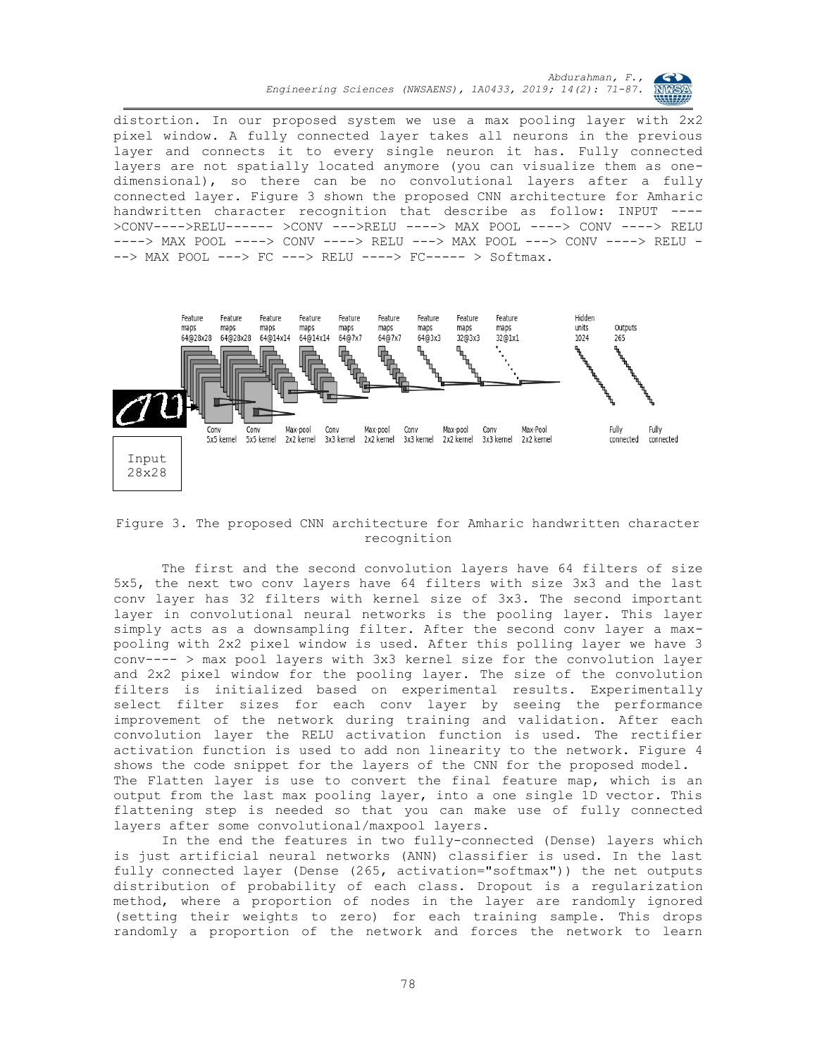distortion. In our proposed system we use a max pooling layer with 2x2 pixel window. A fully connected layer takes all neurons in the previous layer and connects it to every single neuron it has. Fully connected layers are not spatially located anymore (you can visualize them as onedimensional), so there can be no convolutional layers after a fully connected layer. Figure 3 shown the proposed CNN architecture for Amharic handwritten character recognition that describe as follow: INPUT ---- >CONV---->RELU------ >CONV --->RELU ----> MAX POOL ----> CONV ----> RELU ----> MAX POOL ----> CONV ----> RELU ---> MAX POOL ---> CONV ----> RELU - --> MAX POOL ---> FC ---> RELU ----> FC----- > Softmax.



Figure 3. The proposed CNN architecture for Amharic handwritten character recognition

The first and the second convolution layers have 64 filters of size 5x5, the next two conv layers have 64 filters with size 3x3 and the last conv layer has 32 filters with kernel size of 3x3. The second important layer in convolutional neural networks is the pooling layer. This layer simply acts as a downsampling filter. After the second conv layer a maxpooling with 2x2 pixel window is used. After this polling layer we have 3 conv---- > max pool layers with 3x3 kernel size for the convolution layer and 2x2 pixel window for the pooling layer. The size of the convolution filters is initialized based on experimental results. Experimentally select filter sizes for each conv layer by seeing the performance improvement of the network during training and validation. After each convolution layer the RELU activation function is used. The rectifier activation function is used to add non linearity to the network. Figure 4 shows the code snippet for the layers of the CNN for the proposed model. The Flatten layer is use to convert the final feature map, which is an output from the last max pooling layer, into a one single 1D vector. This flattening step is needed so that you can make use of fully connected layers after some convolutional/maxpool layers.

In the end the features in two fully-connected (Dense) layers which is just artificial neural networks (ANN) classifier is used. In the last fully connected layer (Dense (265, activation="softmax")) the net outputs distribution of probability of each class. Dropout is a regularization method, where a proportion of nodes in the layer are randomly ignored (setting their weights to zero) for each training sample. This drops randomly a proportion of the network and forces the network to learn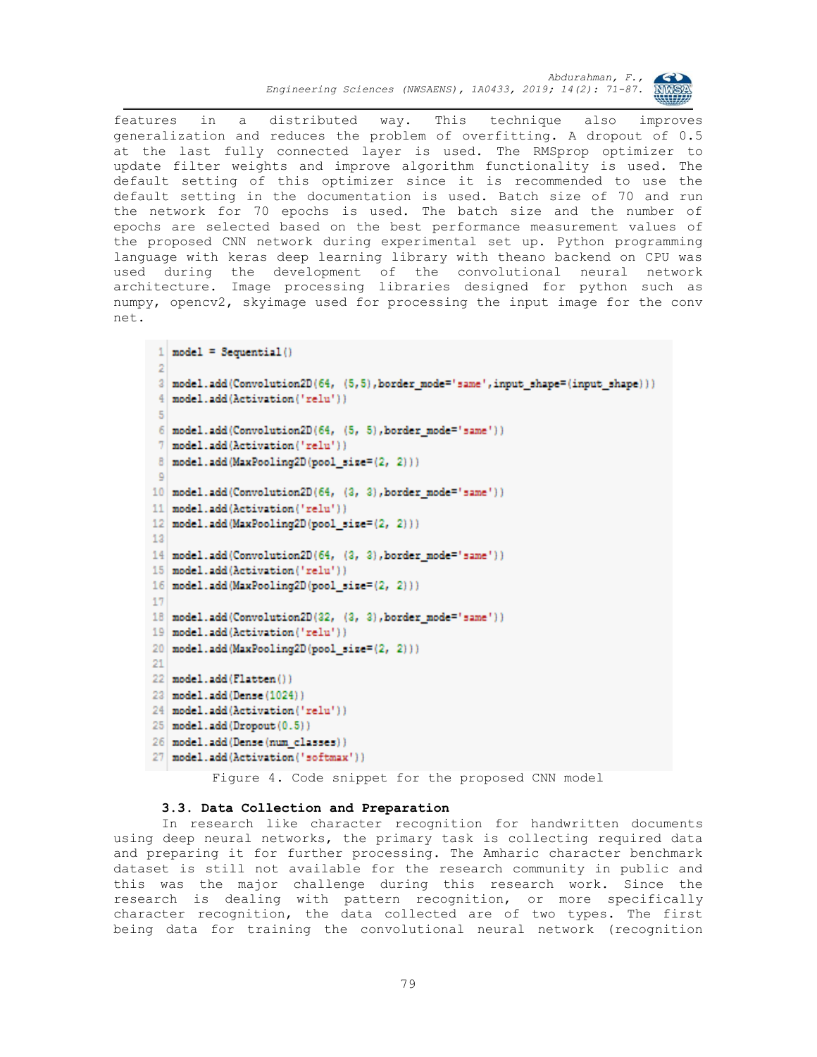

features in a distributed way. This technique also improves generalization and reduces the problem of overfitting. A dropout of 0.5 at the last fully connected layer is used. The RMSprop optimizer to update filter weights and improve algorithm functionality is used. The default setting of this optimizer since it is recommended to use the default setting in the documentation is used. Batch size of 70 and run the network for 70 epochs is used. The batch size and the number of epochs are selected based on the best performance measurement values of the proposed CNN network during experimental set up. Python programming language with keras deep learning library with theano backend on CPU was used during the development of the convolutional neural network architecture. Image processing libraries designed for python such as numpy, opencv2, skyimage used for processing the input image for the conv net.

```
1 model = Sequential()
 \overline{2}3 model.add(Convolution2D(64, (5,5), border mode='same', input shape=(input shape)))
 4 model.add(Activation('relu'))
 \overline{5}6 model.add(Convolution2D(64, (5, 5), border mode='same'))
 7 model.add(Activation('relu'))
8 model.add(MaxPooling2D(pool_size=(2, 2)))
 \circ10 model.add(Convolution2D(64, (3, 3), border mode='same'))
11 model.add(Activation('relu'))
12 model.add(MaxPooling2D(pool size=(2, 2)))
1314 model.add(Convolution2D(64, (3, 3), border mode='same'))
15 model.add (Activation ('relu'))
16 model.add (MaxPooling2D (pool size=(2, 2)))
1718 model.add(Convolution2D(32, (3, 3), border_mode='same'))
19 model.add (Activation ('relu'))
20 model.add (MaxPooling2D (pool size=(2, 2)))
21
22 model.add(Flatten())
23 model.add (Dense (1024))
24 model.add(Activation('relu'))
25 model.add (Dropout (0.5))
26 model.add (Dense (num_classes))
27 model.add (Activation ('softmax'))
```
Figure 4. Code snippet for the proposed CNN model

# **3.3. Data Collection and Preparation**

In research like character recognition for handwritten documents using deep neural networks, the primary task is collecting required data and preparing it for further processing. The Amharic character benchmark dataset is still not available for the research community in public and this was the major challenge during this research work. Since the research is dealing with pattern recognition, or more specifically character recognition, the data collected are of two types. The first being data for training the convolutional neural network (recognition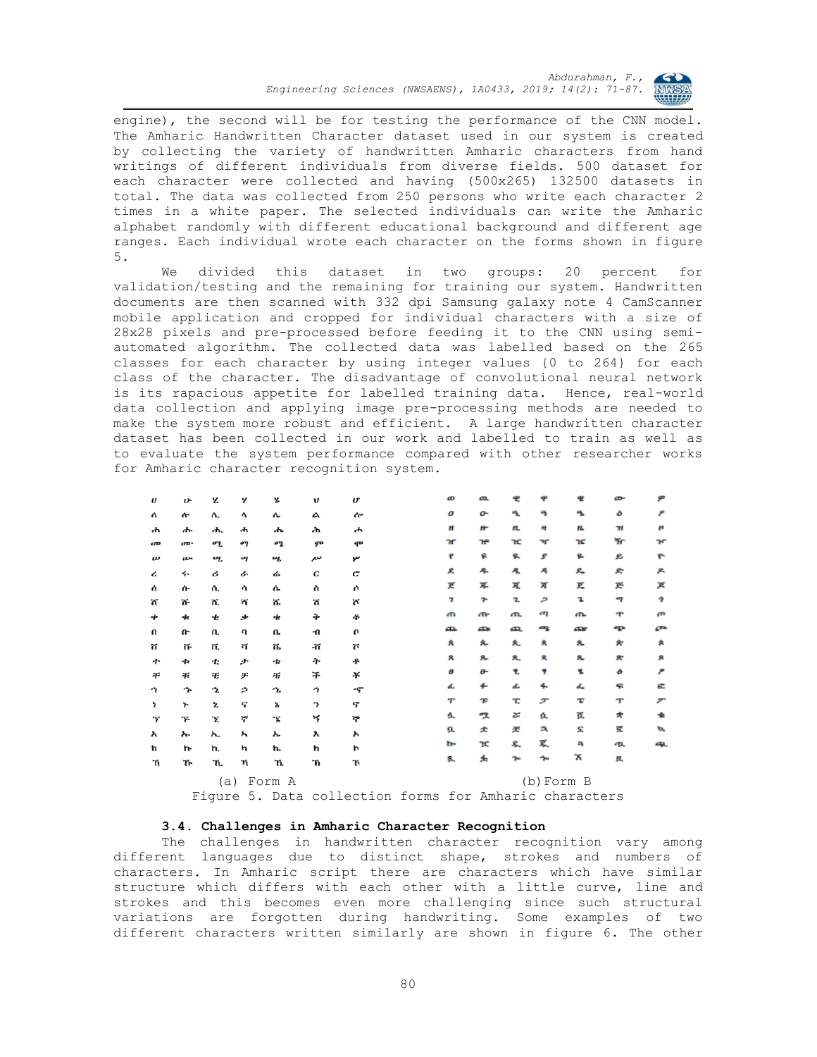

engine), the second will be for testing the performance of the CNN model. The Amharic Handwritten Character dataset used in our system is created by collecting the variety of handwritten Amharic characters from hand writings of different individuals from diverse fields. 500 dataset for each character were collected and having (500x265) 132500 datasets in total. The data was collected from 250 persons who write each character 2 times in a white paper. The selected individuals can write the Amharic alphabet randomly with different educational background and different age ranges. Each individual wrote each character on the forms shown in figure 5.

We divided this dataset in two groups: 20 percent for validation/testing and the remaining for training our system. Handwritten documents are then scanned with 332 dpi Samsung galaxy note 4 CamScanner mobile application and cropped for individual characters with a size of 28x28 pixels and pre-processed before feeding it to the CNN using semiautomated algorithm. The collected data was labelled based on the 265 classes for each character by using integer values {0 to 264} for each class of the character. The disadvantage of convolutional neural network is its rapacious appetite for labelled training data. Hence, real-world data collection and applying image pre-processing methods are needed to make the system more robust and efficient. A large handwritten character dataset has been collected in our work and labelled to train as well as to evaluate the system performance compared with other researcher works for Amharic character recognition system.

| υ                          | v                         | z   | Y  | ሄ                  | v   | U | o         | ዉ  |    |                |   | œ  | ዎ                        |
|----------------------------|---------------------------|-----|----|--------------------|-----|---|-----------|----|----|----------------|---|----|--------------------------|
| Λ                          | ሎ                         | ሊ   | 4  | ሌ                  | ል   | ሎ | о         | o٠ | ዔ  | ą              | ዔ | ۵  | ۶                        |
| ሐ                          | ሔ                         | ሒ   | ሓ  | ሔ                  | ሕ   | ሖ | н         | H. | H. | н              | ĸ | H  | ĸ                        |
| æ                          | <b>a</b> p-               | ሚ   | σq | ሜ                  | ም   | ሞ | 'n        | ᡝᢪ | ዢ  | ٦r             | œ | ዥ  | m                        |
| $\boldsymbol{\mathcal{P}}$ | $\boldsymbol{\mathit{w}}$ | ખ   | ખ  | ખ                  | ייז | ሦ | ę         | ę  | ዪ  | s              | e | e  | ዮ                        |
| ረ                          | ሩ                         | ሪ   | ı  | ሬ                  | c   | c | ደ         | 朵  | 崼  | Ą              | ዱ | e  | ዶ                        |
| Λ                          | ሱ                         | ሊ   | ሳ  | ሴ                  | ስ   | Ô | K         | ጁ  | Æ, | স              | ĸ | Æ. | ×                        |
| π                          | ሹ                         | ሺ   | ሻ  | ሼ                  | ሽ   | ሾ | 7         | ÷  | 2. | و              | 2 | -7 | ÷                        |
| ቀ                          | ቁ                         | ቂ   | ቃ  | Ф                  | ቅ   | ቆ | ጠ         | ጡ  | m. | ጣ              | ጤ | ጥ  | æ                        |
| $\mathbf{u}$               | Ռ                         | ቢ   | ባ  | ቤ                  | ብ   | U | æ         | æ  | æ  | æ              | æ | ጭ  | œ                        |
| ក                          | ቩ                         | 'n. | ក  | ቬ                  | ٠ñ  | ក | А         | ۶. | ٨. | A              | 夊 | ×  | A                        |
| ተ                          | ቱ                         | 士   | ታ  | もんじょう しょうしょう せんしょう | ት   | ቶ | я         | я. | 8. | я              | ጹ | ×  | я                        |
| 干                          | 弔                         | Ŧ   | ヂ  | 弔                  | ች   | ¥ | θ         | ፁ  | 2. | 4              | 2 | ò  | ۶                        |
| ÷                          | ኍ                         | 2   | ۶  | ኄ                  | n   | ኆ | ፌ         | 4. | ፌ  | 4.             | ፌ | ፍ  | G.                       |
| r                          | Y.                        | Ł   | ና  | ኔ                  | P,  | ኖ | $^{\tau}$ | F  | τ  | ச              | Έ | т  | $\overline{\phantom{a}}$ |
| т                          | ኙ                         | Ŧ.  | ኛ  | Ŧ.                 | ኝ   | ኞ | ሏ         | ሟ  | z  | 立              | 页 | *  | 也                        |
| አ                          | ኡ                         | አ.  | ኣ  | ኤ                  | λ   | አ | a         | 丈  | 关  | A              | ε | 賓  | w                        |
| ħ                          | 'n                        | ħ.  | 'n | ħ.                 | ħ   | þ | h-        | κ  | ዴ  | 买              | Ą | ዉ  | 65).                     |
| 'n                         | ኹ                         | 'n. | ኻ  | ኼ                  | ħ   | ኸ | 8.        | 丢  | 70 | ≁              | х | 且  |                          |
|                            | Form A<br>(a)             |     |    |                    |     |   |           |    |    | $(b)$ Form $B$ |   |    |                          |

Figure 5. Data collection forms for Amharic characters

# **3.4. Challenges in Amharic Character Recognition**

The challenges in handwritten character recognition vary among different languages due to distinct shape, strokes and numbers of characters. In Amharic script there are characters which have similar structure which differs with each other with a little curve, line and strokes and this becomes even more challenging since such structural variations are forgotten during handwriting. Some examples of two different characters written similarly are shown in figure 6. The other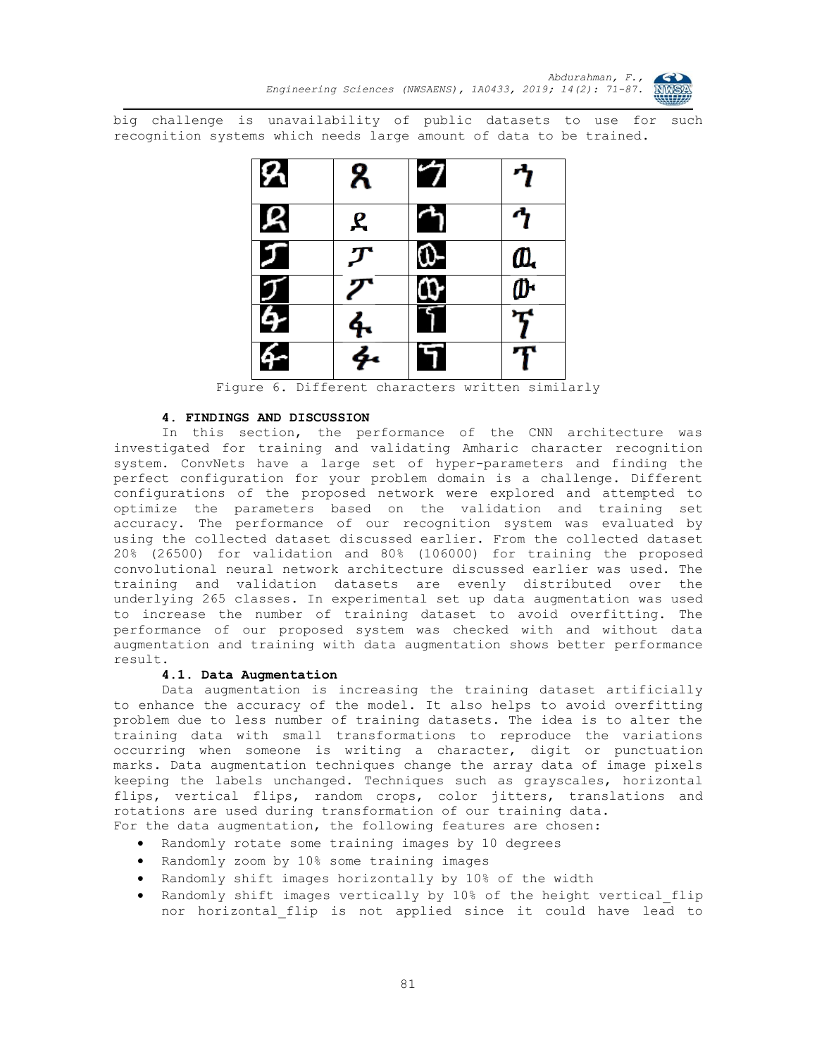

big challenge is unavailability of public datasets to use for such recognition systems which needs large amount of data to be trained.



Figure 6. Different characters written similarly

# **4. FINDINGS AND DISCUSSION**

In this section, the performance of the CNN architecture was investigated for training and validating Amharic character recognition system. ConvNets have a large set of hyper-parameters and finding the perfect configuration for your problem domain is a challenge. Different configurations of the proposed network were explored and attempted to optimize the parameters based on the validation and training set accuracy. The performance of our recognition system was evaluated by using the collected dataset discussed earlier. From the collected dataset 20% (26500) for validation and 80% (106000) for training the proposed convolutional neural network architecture discussed earlier was used. The training and validation datasets are evenly distributed over the underlying 265 classes. In experimental set up data augmentation was used to increase the number of training dataset to avoid overfitting. The performance of our proposed system was checked with and without data augmentation and training with data augmentation shows better performance result.

### **4.1. Data Augmentation**

Data augmentation is increasing the training dataset artificially to enhance the accuracy of the model. It also helps to avoid overfitting problem due to less number of training datasets. The idea is to alter the training data with small transformations to reproduce the variations occurring when someone is writing a character, digit or punctuation marks. Data augmentation techniques change the array data of image pixels keeping the labels unchanged. Techniques such as grayscales, horizontal flips, vertical flips, random crops, color jitters, translations and rotations are used during transformation of our training data. For the data augmentation, the following features are chosen:

- Randomly rotate some training images by 10 degrees
- Randomly zoom by 10% some training images
- Randomly shift images horizontally by 10% of the width
- Randomly shift images vertically by 10% of the height vertical flip nor horizontal\_flip is not applied since it could have lead to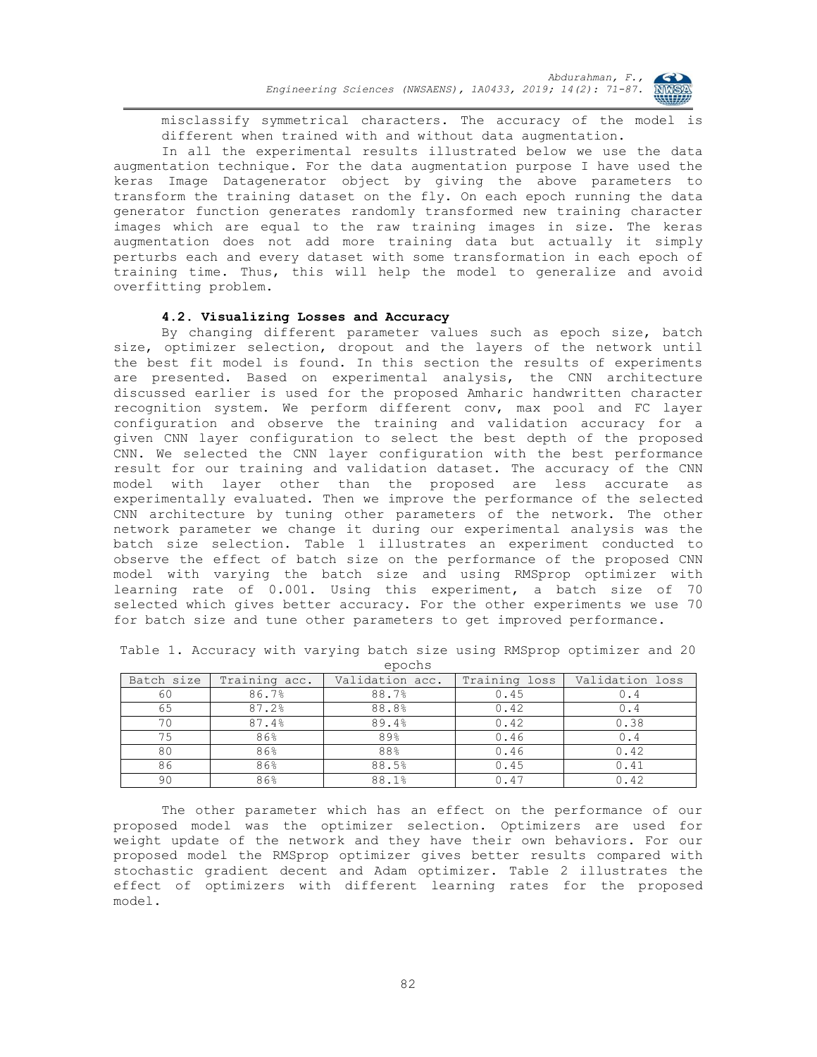

misclassify symmetrical characters. The accuracy of the model is different when trained with and without data augmentation.

In all the experimental results illustrated below we use the data augmentation technique. For the data augmentation purpose I have used the keras Image Datagenerator object by giving the above parameters to transform the training dataset on the fly. On each epoch running the data generator function generates randomly transformed new training character images which are equal to the raw training images in size. The keras augmentation does not add more training data but actually it simply perturbs each and every dataset with some transformation in each epoch of training time. Thus, this will help the model to generalize and avoid overfitting problem.

# **4.2. Visualizing Losses and Accuracy**

By changing different parameter values such as epoch size, batch size, optimizer selection, dropout and the layers of the network until the best fit model is found. In this section the results of experiments are presented. Based on experimental analysis, the CNN architecture discussed earlier is used for the proposed Amharic handwritten character recognition system. We perform different conv, max pool and FC layer configuration and observe the training and validation accuracy for a given CNN layer configuration to select the best depth of the proposed CNN. We selected the CNN layer configuration with the best performance result for our training and validation dataset. The accuracy of the CNN model with layer other than the proposed are less accurate as experimentally evaluated. Then we improve the performance of the selected CNN architecture by tuning other parameters of the network. The other network parameter we change it during our experimental analysis was the batch size selection. Table 1 illustrates an experiment conducted to observe the effect of batch size on the performance of the proposed CNN model with varying the batch size and using RMSprop optimizer with learning rate of 0.001. Using this experiment, a batch size of 70 selected which gives better accuracy. For the other experiments we use 70 for batch size and tune other parameters to get improved performance.

| Batch size | Training acc. | Validation acc. | Training loss | Validation loss |
|------------|---------------|-----------------|---------------|-----------------|
| 60         | 86.7%         | 88.7%           | 0.45          | 0.4             |
| 65         | 87.2%         | 88.8%           | 0.42          | 0.4             |
| 70         | 87.4%         | 89.4%           | 0.42          | 0.38            |
| 75         | 86%           | 89%             | 0.46          | 0.4             |
| 80         | 86%           | 88%             | 0.46          | 0.42            |
| 86         | 86%           | 88.5%           | 0.45          | 0.41            |
| 90         | 86%           | 88.1%           | 0.47          | 0.42            |

Table 1. Accuracy with varying batch size using RMSprop optimizer and 20 epochs

The other parameter which has an effect on the performance of our proposed model was the optimizer selection. Optimizers are used for weight update of the network and they have their own behaviors. For our proposed model the RMSprop optimizer gives better results compared with stochastic gradient decent and Adam optimizer. Table 2 illustrates the effect of optimizers with different learning rates for the proposed model.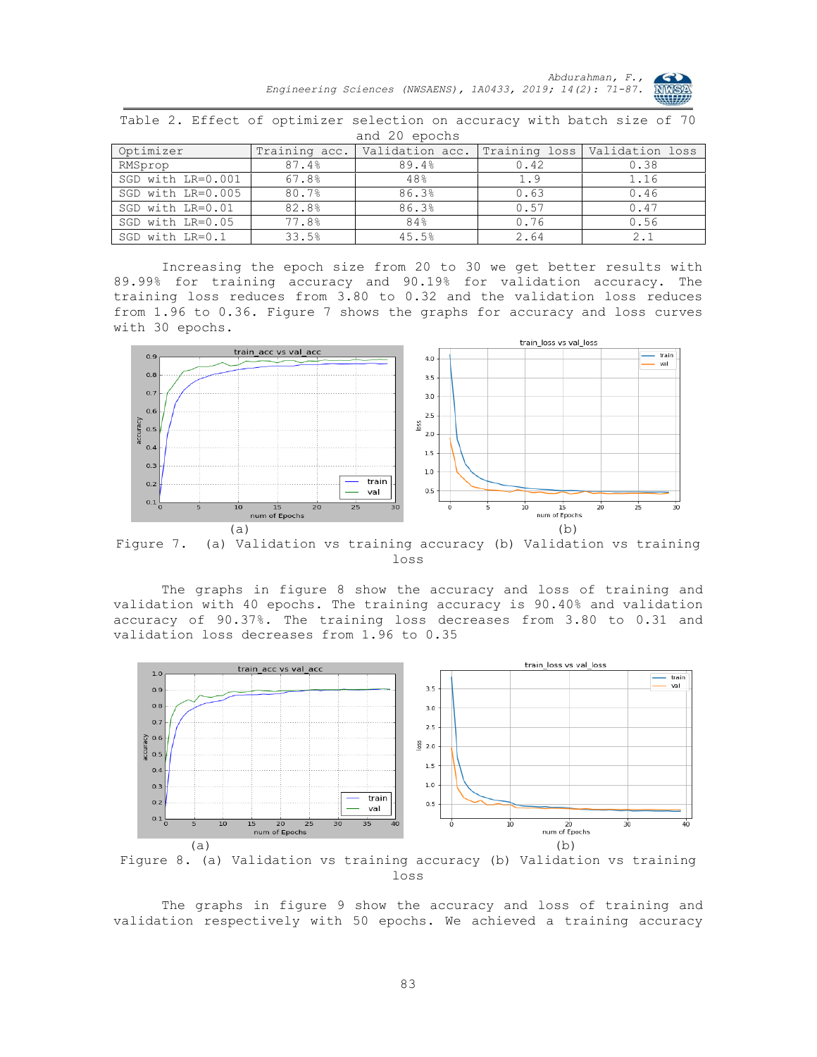

| and 20 epochs     |               |                                               |      |      |  |  |  |  |  |
|-------------------|---------------|-----------------------------------------------|------|------|--|--|--|--|--|
| Optimizer         | Training acc. | Validation acc. Training loss Validation loss |      |      |  |  |  |  |  |
| RMSprop           | 87.4%         | 89.4%                                         | 0.42 | 0.38 |  |  |  |  |  |
| SGD with LR=0.001 | 67.8%         | 48%                                           | 1.9  | 1.16 |  |  |  |  |  |
| SGD with LR=0.005 | 80.7%         | 86.3%                                         | 0.63 | 0.46 |  |  |  |  |  |
| SGD with LR=0.01  | 82.8%         | 86.3%                                         | 0.57 | 0.47 |  |  |  |  |  |
| SGD with LR=0.05  | '.8%          | 84%                                           |      |      |  |  |  |  |  |

Table 2. Effect of optimizer selection on accuracy with batch size of 70

Increasing the epoch size from 20 to 30 we get better results with 89.99% for training accuracy and 90.19% for validation accuracy. The training loss reduces from 3.80 to 0.32 and the validation loss reduces from 1.96 to 0.36. Figure 7 shows the graphs for accuracy and loss curves with 30 epochs.

SGD with LR=0.1 33.5% 45.5% 2.64 2.1



Figure 7. (a) Validation vs training accuracy (b) Validation vs training loss

The graphs in figure 8 show the accuracy and loss of training and validation with 40 epochs. The training accuracy is 90.40% and validation accuracy of 90.37%. The training loss decreases from 3.80 to 0.31 and validation loss decreases from 1.96 to 0.35



loss

The graphs in figure 9 show the accuracy and loss of training and validation respectively with 50 epochs. We achieved a training accuracy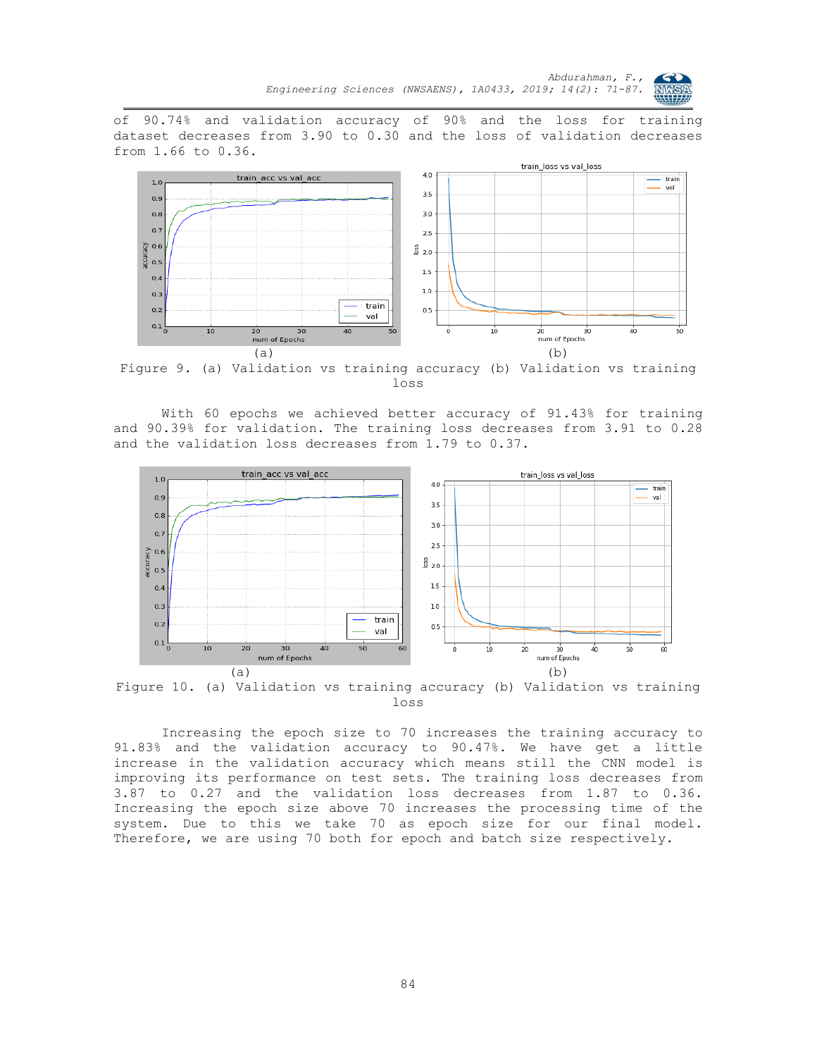

of 90.74% and validation accuracy of 90% and the loss for training dataset decreases from 3.90 to 0.30 and the loss of validation decreases from 1.66 to 0.36.



Figure 9. (a) Validation vs training accuracy (b) Validation vs training loss

With 60 epochs we achieved better accuracy of 91.43% for training and 90.39% for validation. The training loss decreases from 3.91 to 0.28 and the validation loss decreases from 1.79 to 0.37.



Figure 10. (a) Validation vs training accuracy (b) Validation vs training loss

Increasing the epoch size to 70 increases the training accuracy to 91.83% and the validation accuracy to 90.47%. We have get a little increase in the validation accuracy which means still the CNN model is improving its performance on test sets. The training loss decreases from 3.87 to 0.27 and the validation loss decreases from 1.87 to 0.36. Increasing the epoch size above 70 increases the processing time of the system. Due to this we take 70 as epoch size for our final model. Therefore, we are using 70 both for epoch and batch size respectively.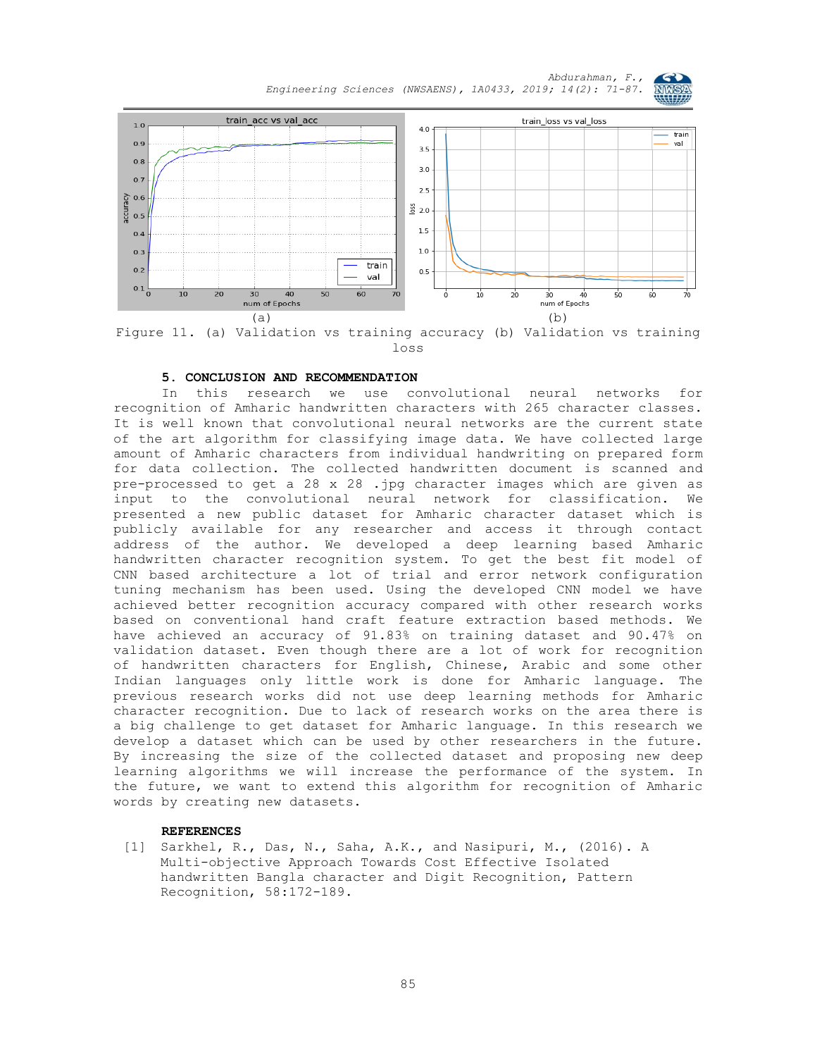*Abdurahman, F., Engineering Sciences (NWSAENS), 1A0433, 2019; 14(2): 71-87.*



Figure 11. (a) Validation vs training accuracy (b) Validation vs training loss

#### **5. CONCLUSION AND RECOMMENDATION**

In this research we use convolutional neural networks for recognition of Amharic handwritten characters with 265 character classes. It is well known that convolutional neural networks are the current state of the art algorithm for classifying image data. We have collected large amount of Amharic characters from individual handwriting on prepared form for data collection. The collected handwritten document is scanned and pre-processed to get a 28 x 28 .jpg character images which are given as input to the convolutional neural network for classification. We presented a new public dataset for Amharic character dataset which is publicly available for any researcher and access it through contact address of the author. We developed a deep learning based Amharic handwritten character recognition system. To get the best fit model of CNN based architecture a lot of trial and error network configuration tuning mechanism has been used. Using the developed CNN model we have achieved better recognition accuracy compared with other research works based on conventional hand craft feature extraction based methods. We have achieved an accuracy of 91.83% on training dataset and 90.47% on validation dataset. Even though there are a lot of work for recognition of handwritten characters for English, Chinese, Arabic and some other Indian languages only little work is done for Amharic language. The previous research works did not use deep learning methods for Amharic character recognition. Due to lack of research works on the area there is a big challenge to get dataset for Amharic language. In this research we develop a dataset which can be used by other researchers in the future. By increasing the size of the collected dataset and proposing new deep learning algorithms we will increase the performance of the system. In the future, we want to extend this algorithm for recognition of Amharic words by creating new datasets.

#### **REFERENCES**

[1] Sarkhel, R., Das, N., Saha, A.K., and Nasipuri, M., (2016). A Multi-objective Approach Towards Cost Effective Isolated handwritten Bangla character and Digit Recognition, Pattern Recognition, 58:172-189.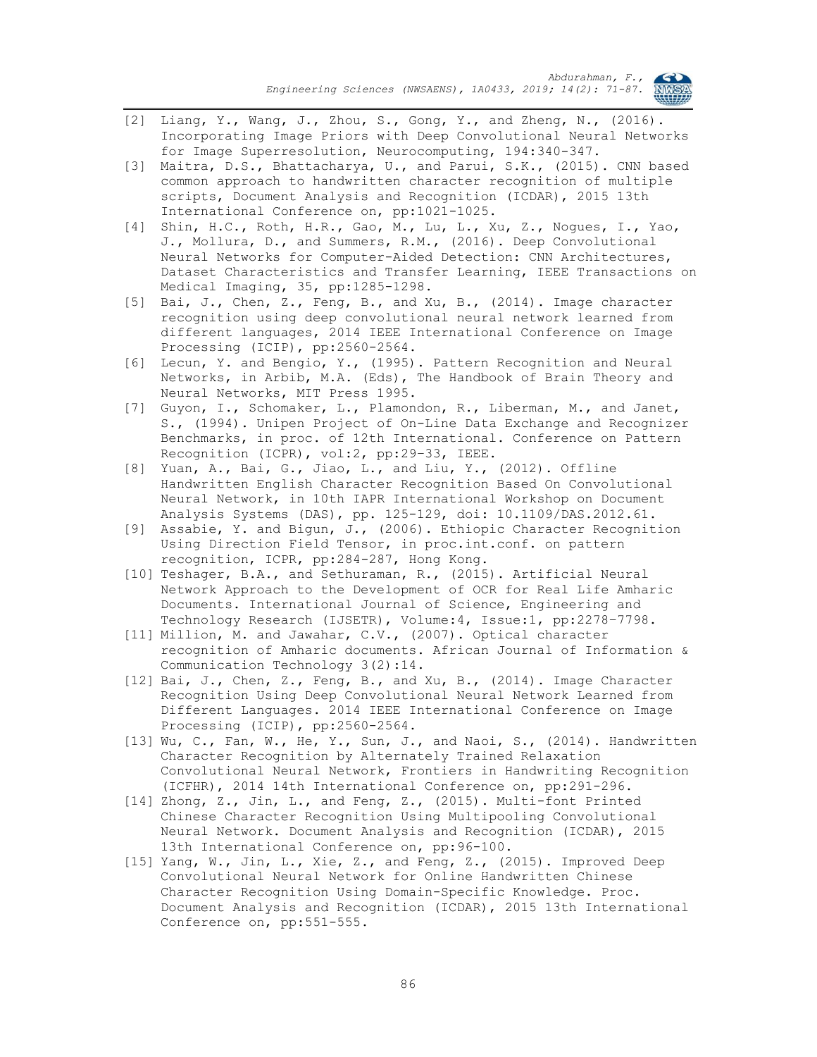

- [2] Liang, Y., Wang, J., Zhou, S., Gong, Y., and Zheng, N., (2016). Incorporating Image Priors with Deep Convolutional Neural Networks for Image Superresolution, Neurocomputing, 194:340-347.
- [3] Maitra, D.S., Bhattacharya, U., and Parui, S.K., (2015). CNN based common approach to handwritten character recognition of multiple scripts, Document Analysis and Recognition (ICDAR), 2015 13th International Conference on, pp:1021-1025.
- [4] Shin, H.C., Roth, H.R., Gao, M., Lu, L., Xu, Z., Nogues, I., Yao, J., Mollura, D., and Summers, R.M., (2016). Deep Convolutional Neural Networks for Computer-Aided Detection: CNN Architectures, Dataset Characteristics and Transfer Learning, IEEE Transactions on Medical Imaging, 35, pp:1285-1298.
- [5] Bai, J., Chen, Z., Feng, B., and Xu, B., (2014). Image character recognition using deep convolutional neural network learned from different languages, 2014 IEEE International Conference on Image Processing (ICIP), pp:2560-2564.
- [6] Lecun, Y. and Bengio, Y., (1995). Pattern Recognition and Neural Networks, in Arbib, M.A. (Eds), The Handbook of Brain Theory and Neural Networks, MIT Press 1995.
- [7] Guyon, I., Schomaker, L., Plamondon, R., Liberman, M., and Janet, S., (1994). Unipen Project of On-Line Data Exchange and Recognizer Benchmarks, in proc. of 12th International. Conference on Pattern Recognition (ICPR), vol:2, pp:29–33, IEEE.
- [8] Yuan, A., Bai, G., Jiao, L., and Liu, Y., (2012). Offline Handwritten English Character Recognition Based On Convolutional Neural Network, in 10th IAPR International Workshop on Document Analysis Systems (DAS), pp. 125-129, doi: 10.1109/DAS.2012.61.
- [9] Assabie, Y. and Bigun, J., (2006). Ethiopic Character Recognition Using Direction Field Tensor, in proc.int.conf. on pattern recognition, ICPR, pp:284-287, Hong Kong.
- [10] Teshager, B.A., and Sethuraman, R., (2015). Artificial Neural Network Approach to the Development of OCR for Real Life Amharic Documents. International Journal of Science, Engineering and Technology Research (IJSETR), Volume:4, Issue:1, pp:2278–7798.
- [11] Million, M. and Jawahar, C.V., (2007). Optical character recognition of Amharic documents. African Journal of Information & Communication Technology 3(2):14.
- [12] Bai, J., Chen, Z., Feng, B., and Xu, B., (2014). Image Character Recognition Using Deep Convolutional Neural Network Learned from Different Languages. 2014 IEEE International Conference on Image Processing (ICIP), pp:2560-2564.
- [13] Wu, C., Fan, W., He, Y., Sun, J., and Naoi, S., (2014). Handwritten Character Recognition by Alternately Trained Relaxation Convolutional Neural Network, Frontiers in Handwriting Recognition (ICFHR), 2014 14th International Conference on, pp:291-296.
- [14] Zhong, Z., Jin, L., and Feng, Z., (2015). Multi-font Printed Chinese Character Recognition Using Multipooling Convolutional Neural Network. Document Analysis and Recognition (ICDAR), 2015 13th International Conference on, pp:96-100.
- [15] Yang, W., Jin, L., Xie, Z., and Feng, Z., (2015). Improved Deep Convolutional Neural Network for Online Handwritten Chinese Character Recognition Using Domain-Specific Knowledge. Proc. Document Analysis and Recognition (ICDAR), 2015 13th International Conference on, pp:551-555.